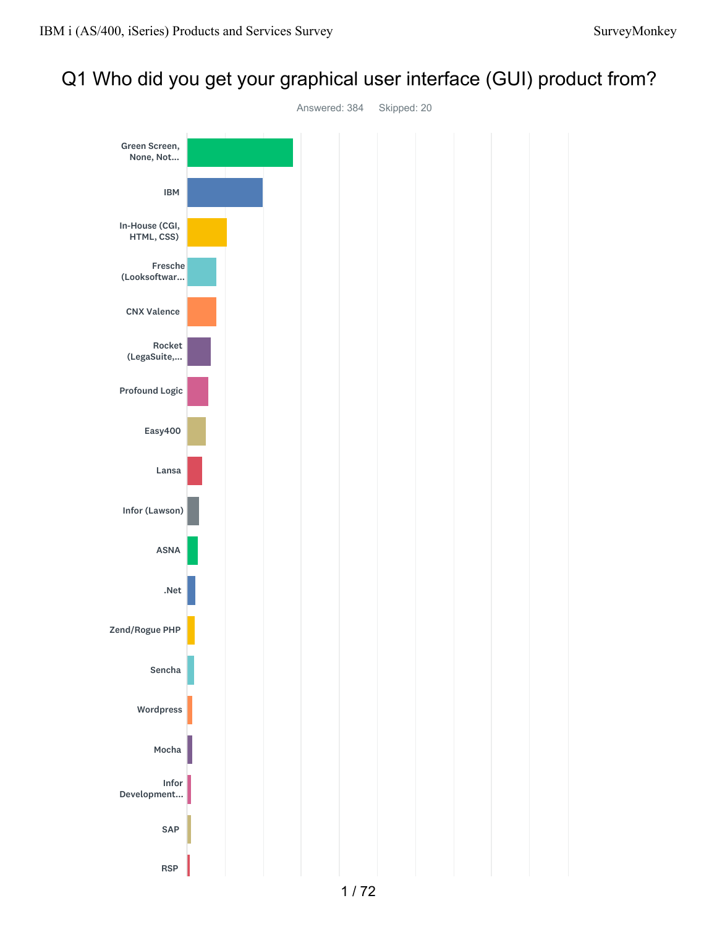## Q1 Who did you get your graphical user interface (GUI) product from?

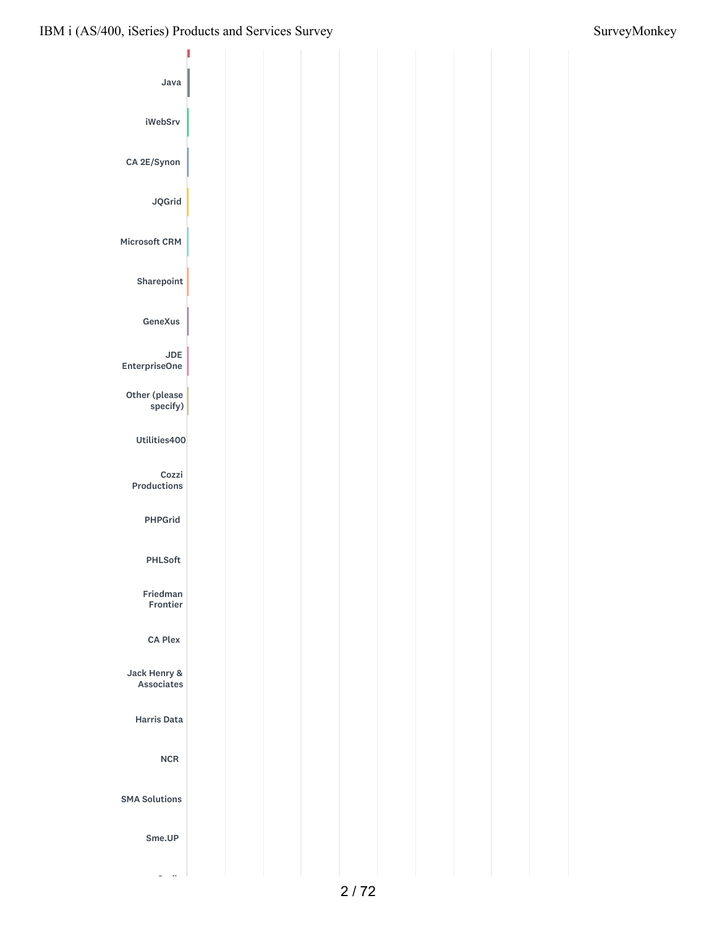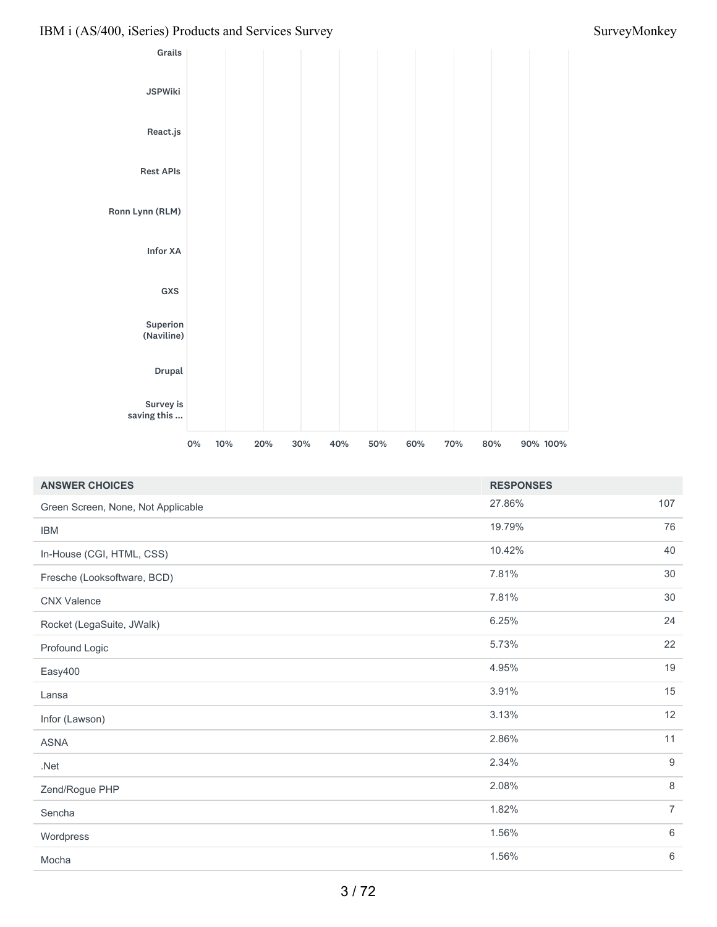

| <b>ANSWER CHOICES</b>              | <b>RESPONSES</b> |                |
|------------------------------------|------------------|----------------|
| Green Screen, None, Not Applicable | 27.86%           | 107            |
| <b>IBM</b>                         | 19.79%           | 76             |
| In-House (CGI, HTML, CSS)          | 10.42%           | 40             |
| Fresche (Looksoftware, BCD)        | 7.81%            | 30             |
| <b>CNX Valence</b>                 | 7.81%            | 30             |
| Rocket (LegaSuite, JWalk)          | 6.25%            | 24             |
| Profound Logic                     | 5.73%            | 22             |
| Easy400                            | 4.95%            | 19             |
| Lansa                              | 3.91%            | 15             |
| Infor (Lawson)                     | 3.13%            | 12             |
| <b>ASNA</b>                        | 2.86%            | 11             |
| $.$ Net                            | 2.34%            | 9              |
| Zend/Rogue PHP                     | 2.08%            | 8              |
| Sencha                             | 1.82%            | $\overline{7}$ |
| Wordpress                          | 1.56%            | 6              |
| Mocha                              | 1.56%            | 6              |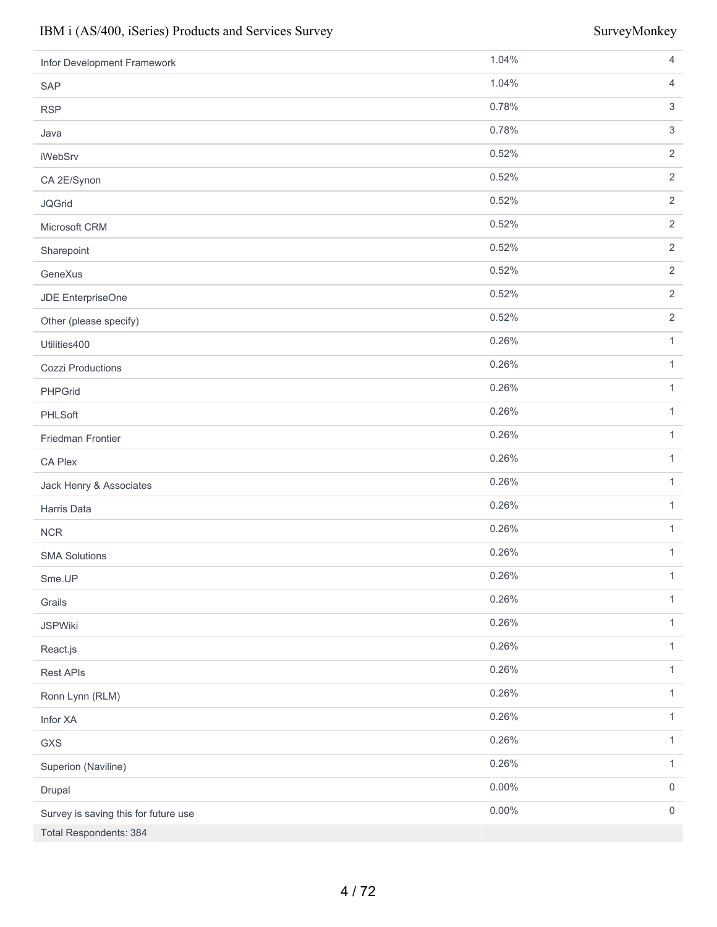| Infor Development Framework          | 1.04%    | $\overline{4}$      |
|--------------------------------------|----------|---------------------|
| SAP                                  | 1.04%    | $\overline{4}$      |
| <b>RSP</b>                           | 0.78%    | $\sqrt{3}$          |
| Java                                 | 0.78%    | $\mathsf 3$         |
| <b>iWebSrv</b>                       | 0.52%    | $\sqrt{2}$          |
| CA 2E/Synon                          | 0.52%    | $\overline{2}$      |
| <b>JQGrid</b>                        | 0.52%    | 2                   |
| Microsoft CRM                        | 0.52%    | $\sqrt{2}$          |
| Sharepoint                           | 0.52%    | $\overline{2}$      |
| GeneXus                              | 0.52%    | 2                   |
| JDE EnterpriseOne                    | 0.52%    | $\overline{2}$      |
| Other (please specify)               | 0.52%    | $\overline{2}$      |
| Utilities400                         | 0.26%    | $\mathbf{1}$        |
| <b>Cozzi Productions</b>             | 0.26%    | $\mathbf{1}$        |
| PHPGrid                              | 0.26%    | $\mathbf{1}$        |
| PHLSoft                              | 0.26%    | $\mathbf{1}$        |
| Friedman Frontier                    | 0.26%    | $\mathbf{1}$        |
| CA Plex                              | 0.26%    | $\mathbf{1}$        |
| Jack Henry & Associates              | 0.26%    | $\mathbf{1}$        |
| Harris Data                          | 0.26%    | $\mathbf{1}$        |
| <b>NCR</b>                           | 0.26%    | $\mathbf{1}$        |
| <b>SMA Solutions</b>                 | 0.26%    | $\mathbf{1}$        |
| Sme.UP                               | 0.26%    | $\mathbf{1}$        |
| Grails                               | 0.26%    | $\mathbf{1}$        |
| <b>JSPWiki</b>                       | 0.26%    | $\mathbf{1}$        |
| React.js                             | 0.26%    | $\mathbf{1}$        |
| <b>Rest APIs</b>                     | 0.26%    | $\mathbf{1}$        |
| Ronn Lynn (RLM)                      | 0.26%    | $\mathbf{1}$        |
| Infor XA                             | 0.26%    | $\mathbf{1}$        |
| GXS                                  | 0.26%    | $\mathbf{1}$        |
| Superion (Naviline)                  | 0.26%    | $\mathbf{1}$        |
| Drupal                               | $0.00\%$ | $\mathsf{O}\xspace$ |
| Survey is saving this for future use | 0.00%    | $\mathsf{O}\xspace$ |
| Total Respondents: 384               |          |                     |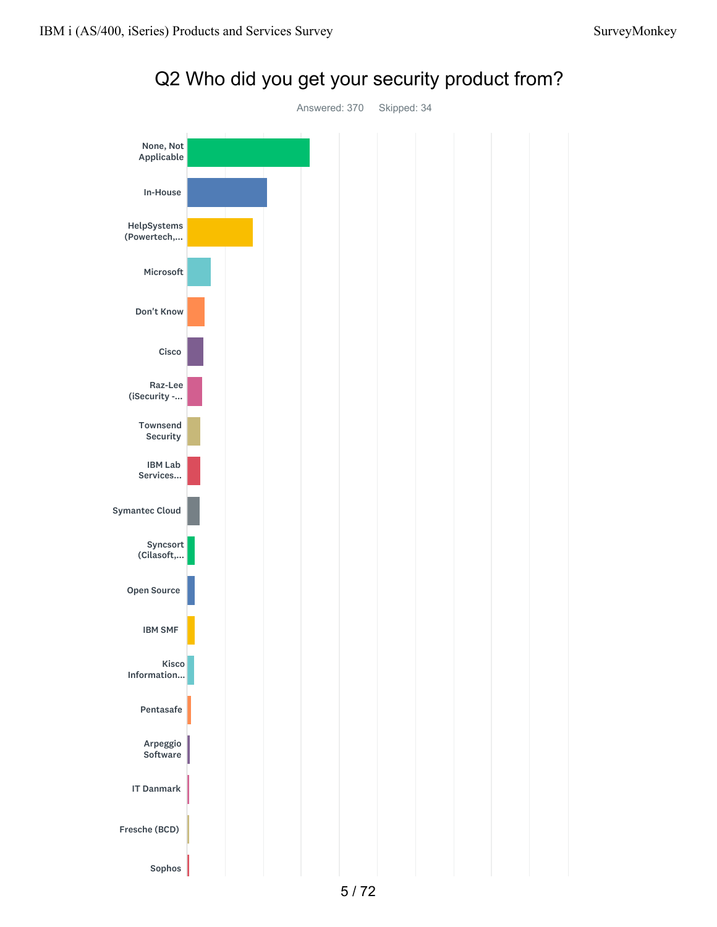

# Q2 Who did you get your security product from?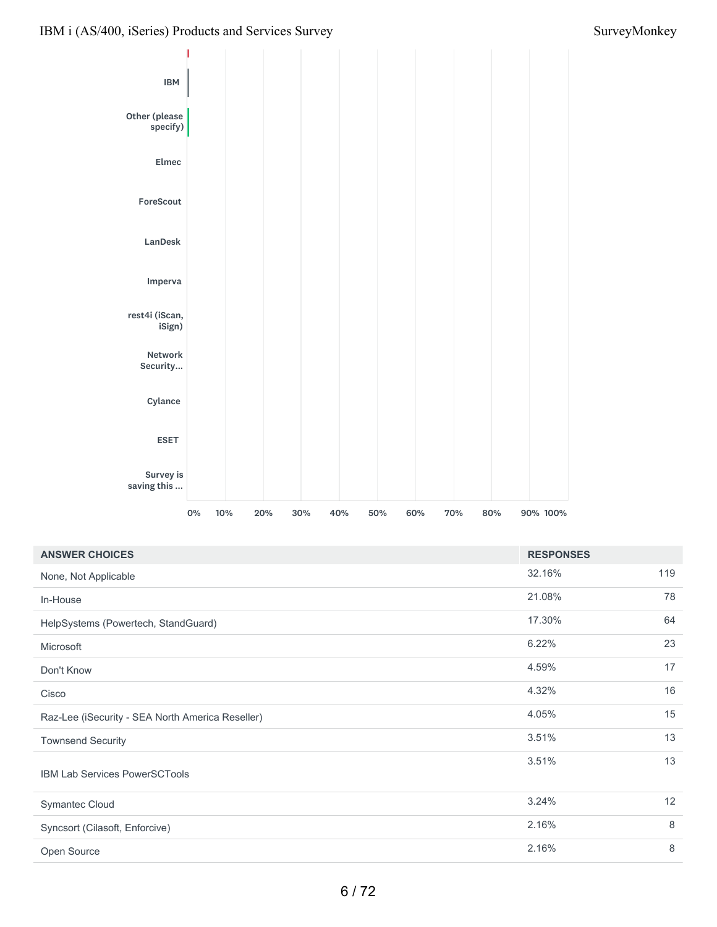

| <b>ANSWER CHOICES</b>                            | <b>RESPONSES</b> |     |
|--------------------------------------------------|------------------|-----|
| None, Not Applicable                             | 32.16%           | 119 |
| In-House                                         | 21.08%           | 78  |
| HelpSystems (Powertech, StandGuard)              | 17.30%           | 64  |
| Microsoft                                        | 6.22%            | 23  |
| Don't Know                                       | 4.59%            | 17  |
| Cisco                                            | 4.32%            | 16  |
| Raz-Lee (iSecurity - SEA North America Reseller) | 4.05%            | 15  |
| <b>Townsend Security</b>                         | 3.51%            | 13  |
| <b>IBM Lab Services PowerSCTools</b>             | 3.51%            | 13  |
| Symantec Cloud                                   | 3.24%            | 12  |
| Syncsort (Cilasoft, Enforcive)                   | 2.16%            | 8   |
| Open Source                                      | 2.16%            | 8   |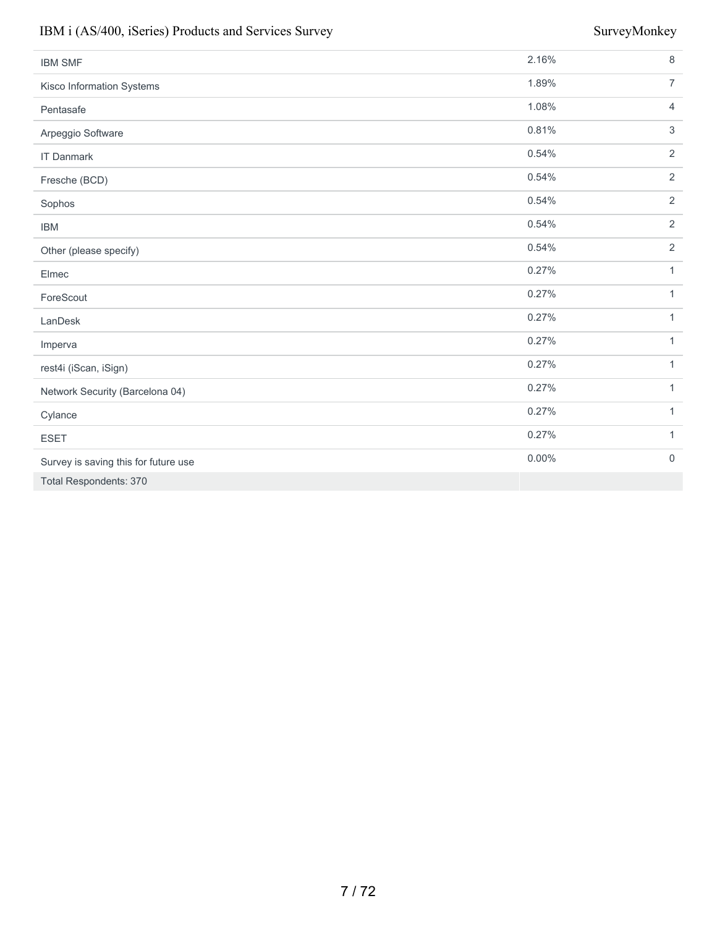| <b>IBM SMF</b>                       | 2.16%    | 8                |
|--------------------------------------|----------|------------------|
| Kisco Information Systems            | 1.89%    | $\overline{7}$   |
| Pentasafe                            | 1.08%    | $\overline{4}$   |
| Arpeggio Software                    | 0.81%    | 3                |
| <b>IT Danmark</b>                    | 0.54%    | $\overline{2}$   |
| Fresche (BCD)                        | 0.54%    | 2                |
| Sophos                               | 0.54%    | $\overline{2}$   |
| <b>IBM</b>                           | 0.54%    | $\overline{2}$   |
| Other (please specify)               | 0.54%    | $\overline{2}$   |
| Elmec                                | 0.27%    | $\mathbf{1}$     |
| ForeScout                            | 0.27%    | $\mathbf{1}$     |
| LanDesk                              | 0.27%    | $\mathbf{1}$     |
| Imperva                              | 0.27%    | $\mathbf{1}$     |
| rest4i (iScan, iSign)                | 0.27%    | $\mathbf{1}$     |
| Network Security (Barcelona 04)      | 0.27%    | $\mathbf{1}$     |
| Cylance                              | 0.27%    | $\mathbf{1}$     |
| <b>ESET</b>                          | 0.27%    | $\mathbf{1}$     |
| Survey is saving this for future use | $0.00\%$ | $\boldsymbol{0}$ |
| <b>Total Respondents: 370</b>        |          |                  |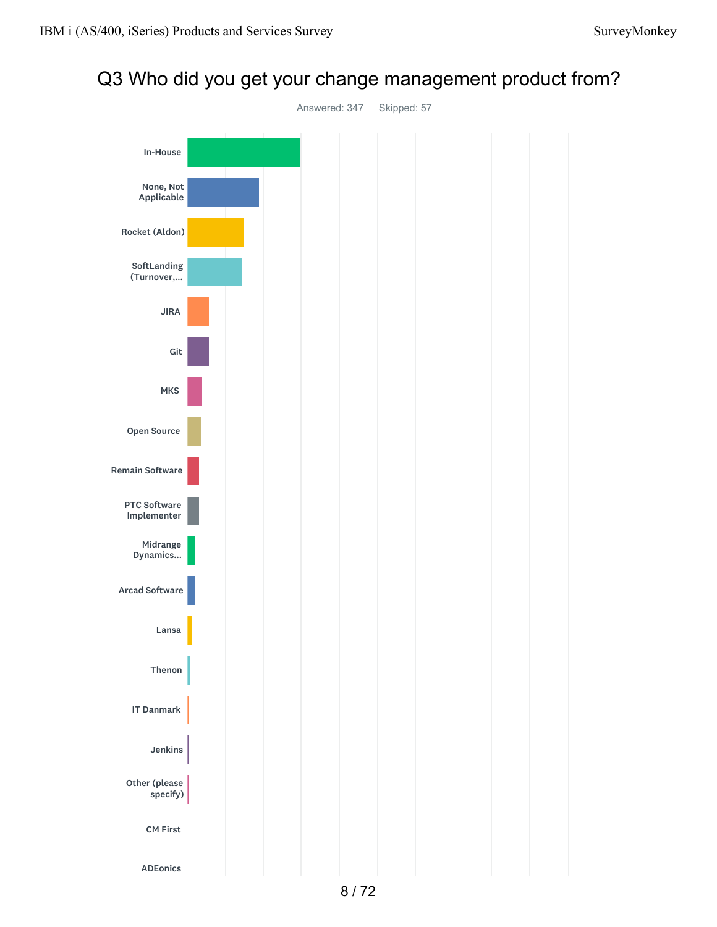## Q3 Who did you get your change management product from?

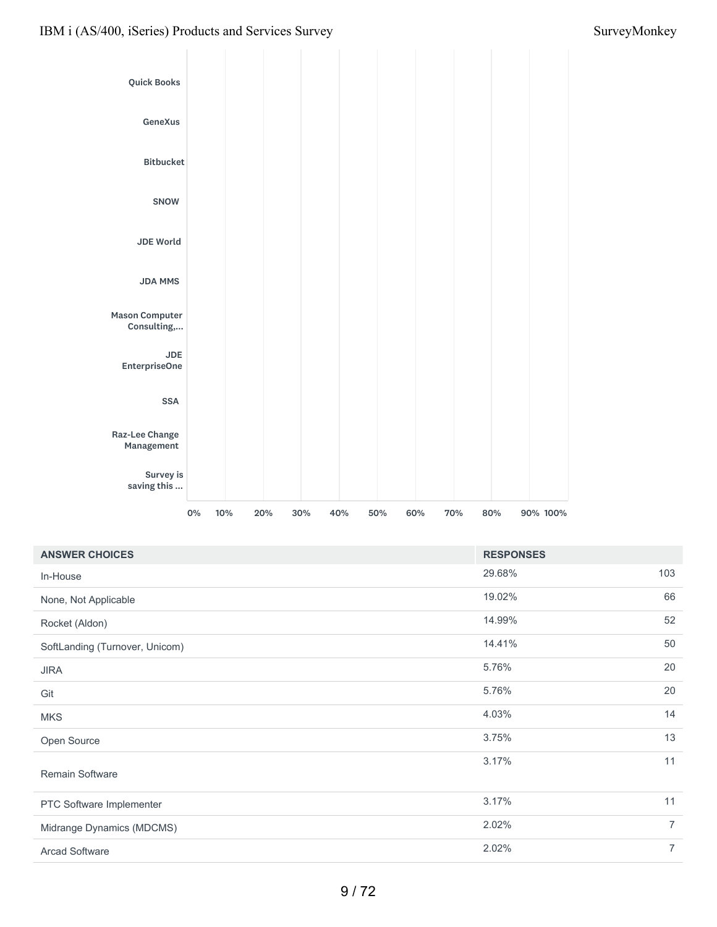

| <b>RESPONSES</b> |                |
|------------------|----------------|
| 29.68%           | 103            |
| 19.02%           | 66             |
| 14.99%           | 52             |
| 14.41%           | 50             |
| 5.76%            | 20             |
| 5.76%            | 20             |
| 4.03%            | 14             |
| 3.75%            | 13             |
| 3.17%            | 11             |
| 3.17%            | 11             |
| 2.02%            | $\overline{7}$ |
| 2.02%            | $\overline{7}$ |
|                  |                |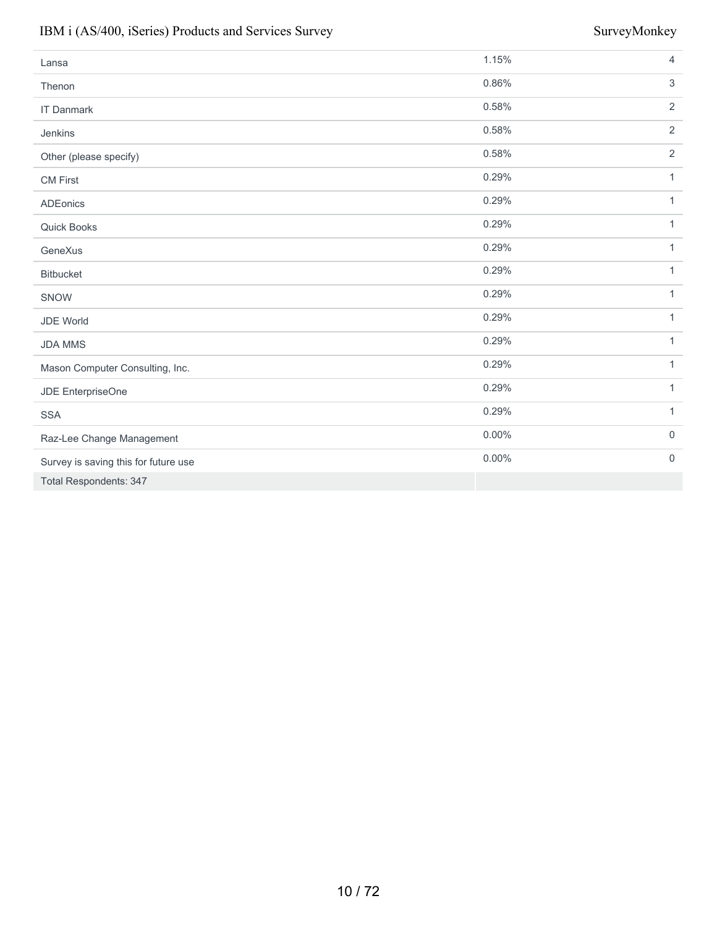| Lansa                                | 1.15%    | $\overline{4}$ |
|--------------------------------------|----------|----------------|
| Thenon                               | 0.86%    | $\mathfrak{S}$ |
| <b>IT Danmark</b>                    | 0.58%    | 2              |
| Jenkins                              | 0.58%    | 2              |
| Other (please specify)               | 0.58%    | 2              |
| <b>CM First</b>                      | 0.29%    | $\mathbf{1}$   |
| <b>ADEonics</b>                      | 0.29%    | $\mathbf{1}$   |
| Quick Books                          | 0.29%    | $\mathbf{1}$   |
| GeneXus                              | 0.29%    | $\mathbf{1}$   |
| <b>Bitbucket</b>                     | 0.29%    | $\mathbf{1}$   |
| SNOW                                 | 0.29%    | $\mathbf{1}$   |
| JDE World                            | 0.29%    | $\mathbf{1}$   |
| <b>JDA MMS</b>                       | 0.29%    | $\mathbf{1}$   |
| Mason Computer Consulting, Inc.      | 0.29%    | $\mathbf{1}$   |
| JDE EnterpriseOne                    | 0.29%    | $\mathbf{1}$   |
| <b>SSA</b>                           | 0.29%    | $\mathbf{1}$   |
| Raz-Lee Change Management            | $0.00\%$ | $\mathbf 0$    |
| Survey is saving this for future use | $0.00\%$ | $\mathbf 0$    |
| Total Respondents: 347               |          |                |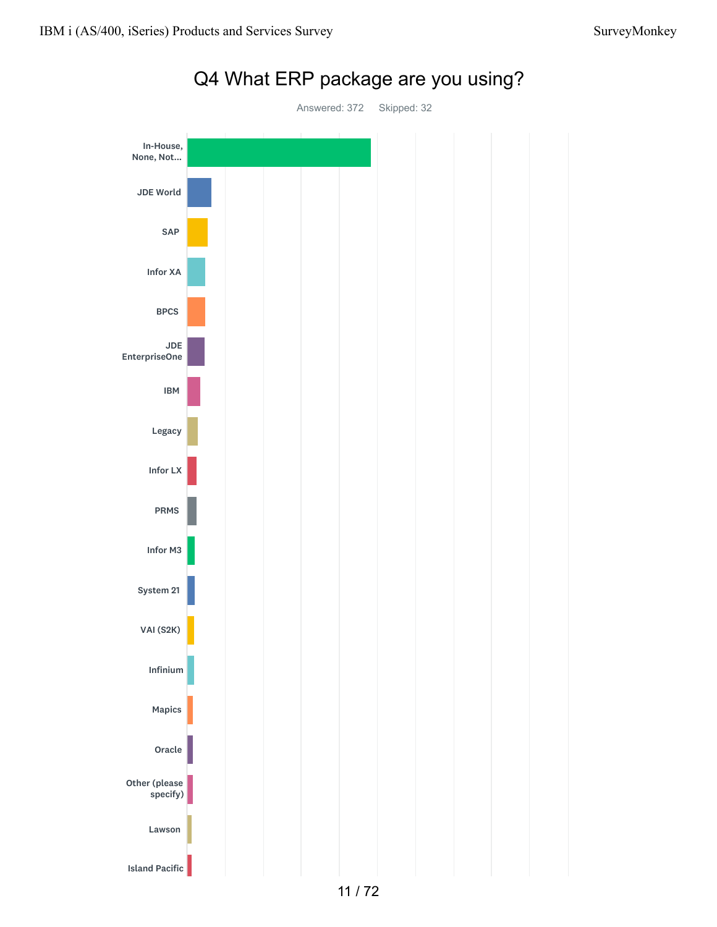

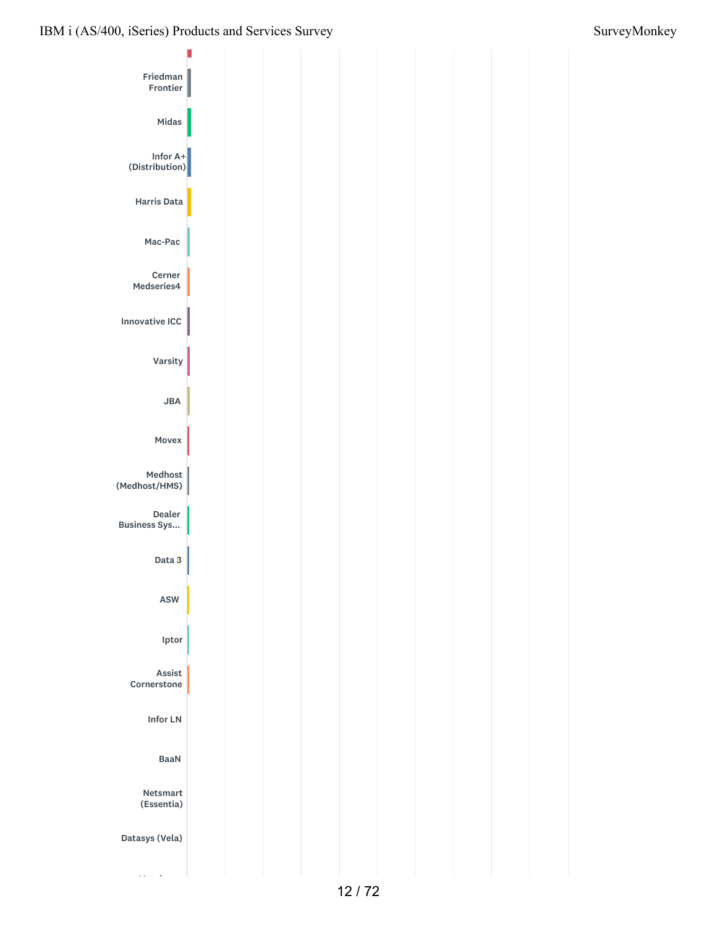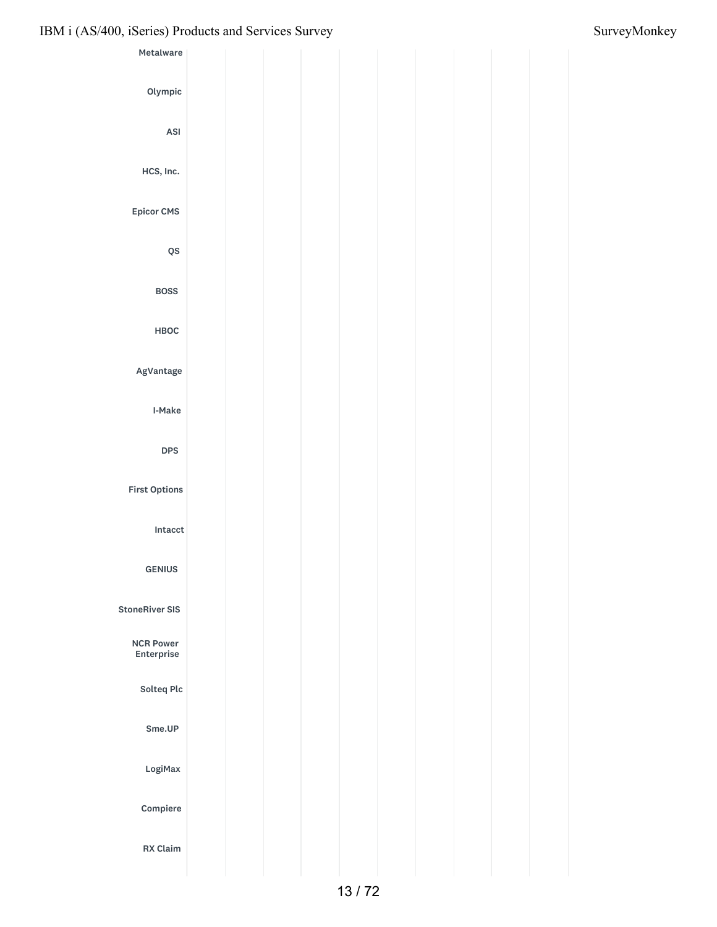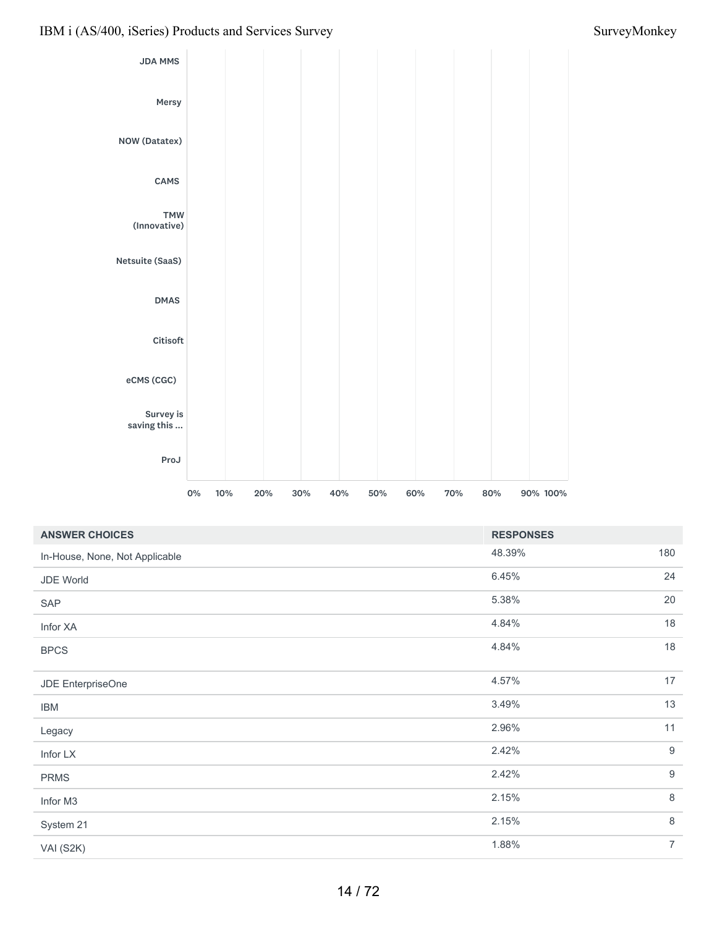

| <b>ANSWER CHOICES</b>          | <b>RESPONSES</b> |                  |
|--------------------------------|------------------|------------------|
| In-House, None, Not Applicable | 48.39%           | 180              |
| JDE World                      | 6.45%            | 24               |
| SAP                            | 5.38%            | 20               |
| Infor XA                       | 4.84%            | 18               |
| <b>BPCS</b>                    | 4.84%            | 18               |
| JDE EnterpriseOne              | 4.57%            | 17               |
| <b>IBM</b>                     | 3.49%            | 13               |
| Legacy                         | 2.96%            | 11               |
| Infor LX                       | 2.42%            | $9\,$            |
| <b>PRMS</b>                    | 2.42%            | $\boldsymbol{9}$ |
| Infor M3                       | 2.15%            | $\,8\,$          |
| System 21                      | 2.15%            | $\,8\,$          |
| VAI (S2K)                      | 1.88%            | $\overline{7}$   |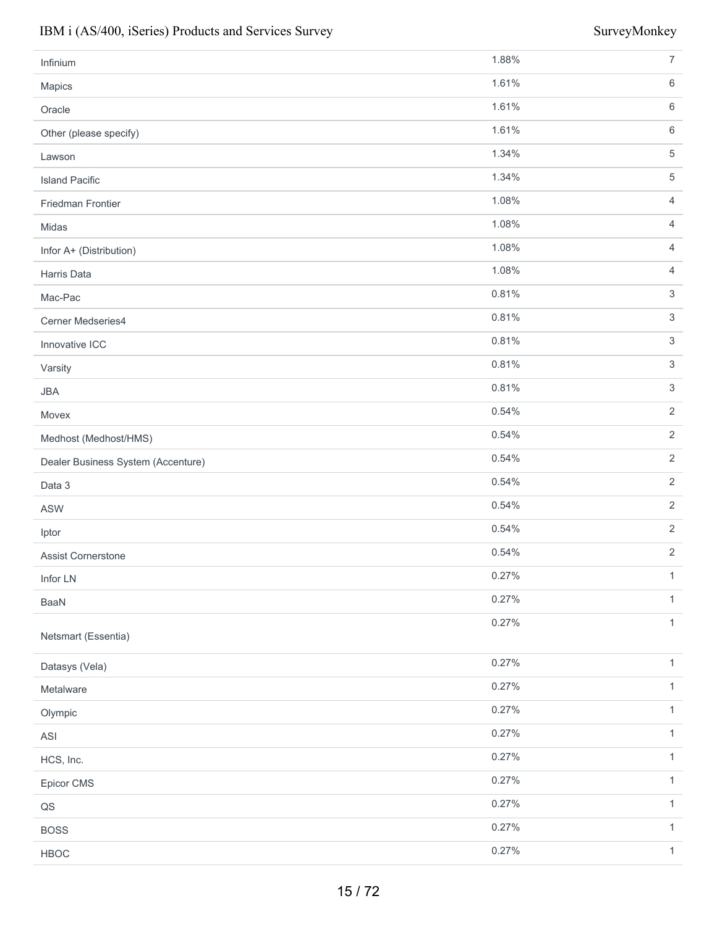| Infinium                           | 1.88% | $\boldsymbol{7}$          |
|------------------------------------|-------|---------------------------|
| Mapics                             | 1.61% | $\,6$                     |
| Oracle                             | 1.61% | $\,6\,$                   |
| Other (please specify)             | 1.61% | $\,6$                     |
| Lawson                             | 1.34% | $\,$ 5 $\,$               |
| <b>Island Pacific</b>              | 1.34% | $\,$ 5 $\,$               |
| Friedman Frontier                  | 1.08% | $\overline{4}$            |
| Midas                              | 1.08% | $\overline{4}$            |
| Infor A+ (Distribution)            | 1.08% | $\overline{4}$            |
| Harris Data                        | 1.08% | $\overline{4}$            |
| Mac-Pac                            | 0.81% | $\ensuremath{\mathsf{3}}$ |
| Cerner Medseries4                  | 0.81% | $\ensuremath{\mathsf{3}}$ |
| Innovative ICC                     | 0.81% | $\sqrt{3}$                |
| Varsity                            | 0.81% | $\ensuremath{\mathsf{3}}$ |
| <b>JBA</b>                         | 0.81% | $\ensuremath{\mathsf{3}}$ |
| Movex                              | 0.54% | $\sqrt{2}$                |
| Medhost (Medhost/HMS)              | 0.54% | $\overline{2}$            |
| Dealer Business System (Accenture) | 0.54% | $\overline{2}$            |
| Data 3                             | 0.54% | $\sqrt{2}$                |
| <b>ASW</b>                         | 0.54% | $\overline{2}$            |
| Iptor                              | 0.54% | $\overline{2}$            |
| Assist Cornerstone                 | 0.54% | $\sqrt{2}$                |
| Infor LN                           | 0.27% | $\mathbf{1}$              |
| BaaN                               | 0.27% | $\mathbf{1}$              |
| Netsmart (Essentia)                | 0.27% | $\mathbf{1}$              |
| Datasys (Vela)                     | 0.27% | $\mathbf{1}$              |
| Metalware                          | 0.27% | $\mathbf{1}$              |
| Olympic                            | 0.27% | $\mathbf{1}$              |
| ASI                                | 0.27% | $\mathbf{1}$              |
| HCS, Inc.                          | 0.27% | $\mathbf{1}$              |
| Epicor CMS                         | 0.27% | $\mathbf{1}$              |
| $\hbox{\bf Q}\hbox{\bf S}$         | 0.27% | $\mathbf{1}$              |
| <b>BOSS</b>                        | 0.27% | $\mathbf{1}$              |
| HBOC                               | 0.27% | $\mathbf{1}$              |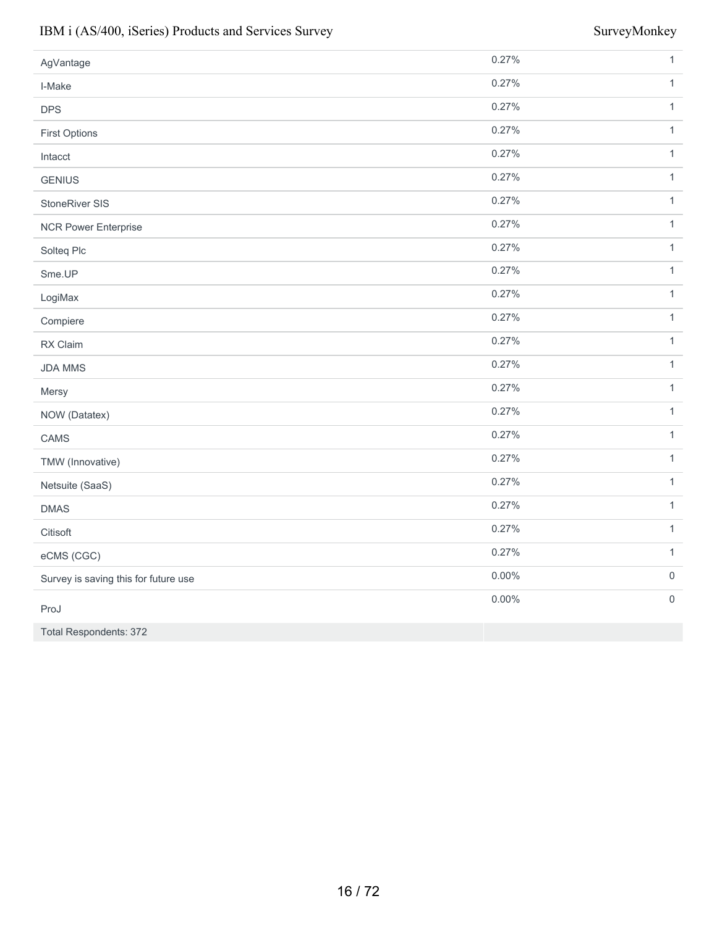| AgVantage                            | 0.27%    | $\mathbf{1}$        |
|--------------------------------------|----------|---------------------|
| I-Make                               | 0.27%    | $\mathbf{1}$        |
| <b>DPS</b>                           | 0.27%    | $\mathbf{1}$        |
| <b>First Options</b>                 | 0.27%    | $\mathbf{1}$        |
| Intacct                              | 0.27%    | $\mathbf{1}$        |
| <b>GENIUS</b>                        | 0.27%    | $\mathbf{1}$        |
| StoneRiver SIS                       | 0.27%    | $\mathbf{1}$        |
| <b>NCR Power Enterprise</b>          | 0.27%    | $\mathbf{1}$        |
| Solteq Plc                           | 0.27%    | $\mathbf{1}$        |
| Sme.UP                               | 0.27%    | $\mathbf{1}$        |
| LogiMax                              | 0.27%    | $\mathbf{1}$        |
| Compiere                             | 0.27%    | $\mathbf{1}$        |
| RX Claim                             | 0.27%    | $\mathbf{1}$        |
| <b>JDA MMS</b>                       | 0.27%    | $\mathbf{1}$        |
| Mersy                                | 0.27%    | $\mathbf{1}$        |
| NOW (Datatex)                        | 0.27%    | $\mathbf{1}$        |
| CAMS                                 | 0.27%    | $\mathbf{1}$        |
| TMW (Innovative)                     | 0.27%    | $\mathbf{1}$        |
| Netsuite (SaaS)                      | 0.27%    | $\mathbf{1}$        |
| <b>DMAS</b>                          | 0.27%    | $\mathbf{1}$        |
| Citisoft                             | 0.27%    | $\mathbf{1}$        |
| eCMS (CGC)                           | 0.27%    | $\mathbf{1}$        |
| Survey is saving this for future use | $0.00\%$ | $\mathsf{O}\xspace$ |
| ProJ                                 | 0.00%    | $\mathsf{O}\xspace$ |
| <b>Total Respondents: 372</b>        |          |                     |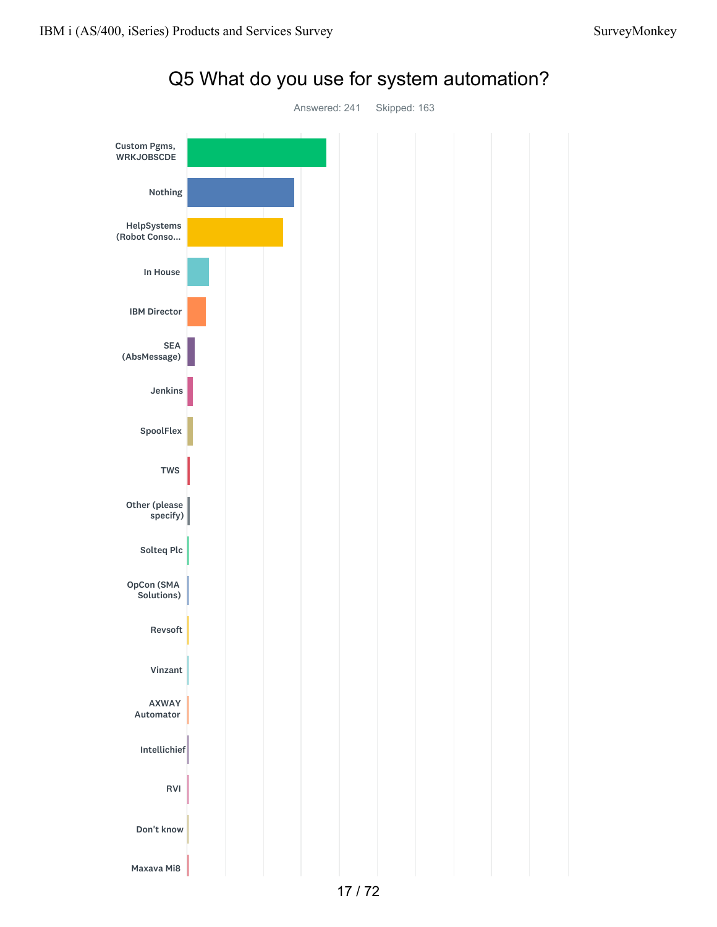

Q5 What do you use for system automation?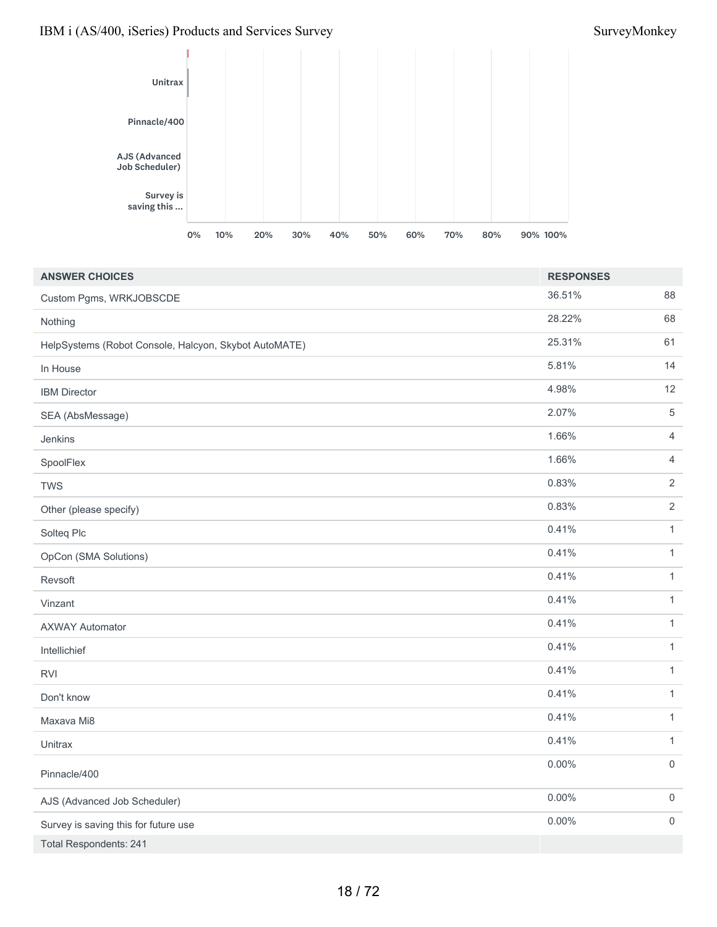

| <b>ANSWER CHOICES</b>                                 | <b>RESPONSES</b> |                     |
|-------------------------------------------------------|------------------|---------------------|
| Custom Pgms, WRKJOBSCDE                               | 36.51%           | 88                  |
| Nothing                                               | 28.22%           | 68                  |
| HelpSystems (Robot Console, Halcyon, Skybot AutoMATE) | 25.31%           | 61                  |
| In House                                              | 5.81%            | 14                  |
| <b>IBM Director</b>                                   | 4.98%            | 12                  |
| SEA (AbsMessage)                                      | 2.07%            | $\,$ 5 $\,$         |
| Jenkins                                               | 1.66%            | $\overline{4}$      |
| SpoolFlex                                             | 1.66%            | $\overline{4}$      |
| <b>TWS</b>                                            | 0.83%            | $\sqrt{2}$          |
| Other (please specify)                                | 0.83%            | $\sqrt{2}$          |
| Solteq Plc                                            | 0.41%            | $\mathbf{1}$        |
| OpCon (SMA Solutions)                                 | 0.41%            | $\mathbf{1}$        |
| Revsoft                                               | 0.41%            | $\mathbf{1}$        |
| Vinzant                                               | 0.41%            | $\mathbf{1}$        |
| <b>AXWAY Automator</b>                                | 0.41%            | $\mathbf{1}$        |
| Intellichief                                          | 0.41%            | $\mathbf{1}$        |
| <b>RVI</b>                                            | 0.41%            | $\mathbf{1}$        |
| Don't know                                            | 0.41%            | $\mathbf{1}$        |
| Maxava Mi8                                            | 0.41%            | $\mathbf{1}$        |
| Unitrax                                               | 0.41%            | $\mathbf{1}$        |
| Pinnacle/400                                          | 0.00%            | $\mathsf{O}\xspace$ |
| AJS (Advanced Job Scheduler)                          | $0.00\%$         | $\mathsf{O}\xspace$ |
| Survey is saving this for future use                  | 0.00%            | $\mathsf{O}$        |
| <b>Total Respondents: 241</b>                         |                  |                     |

### 18 / 72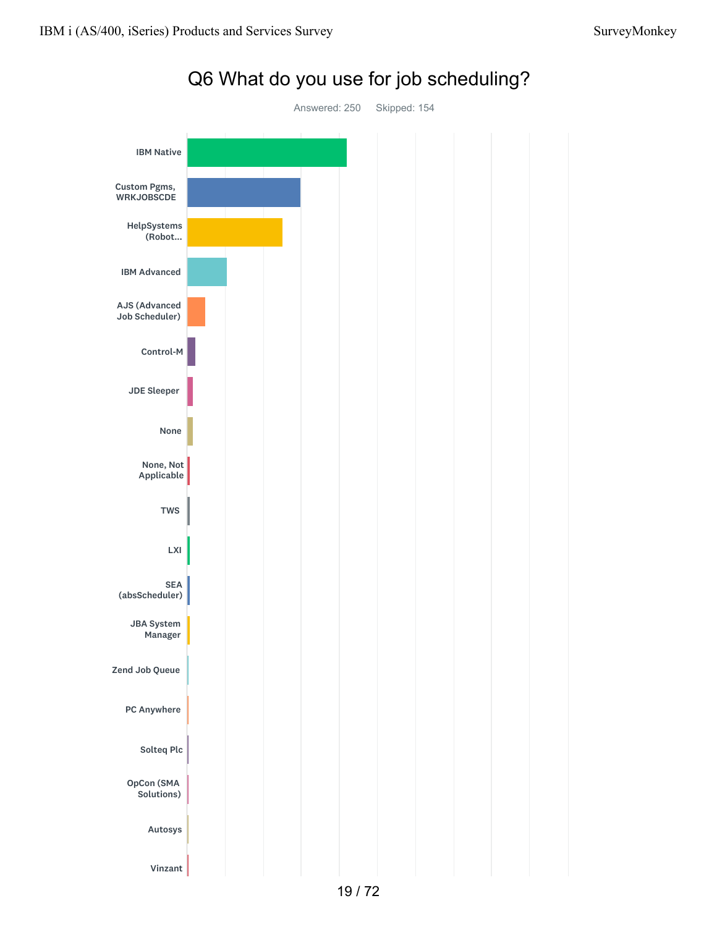



Q6 What do you use for job scheduling?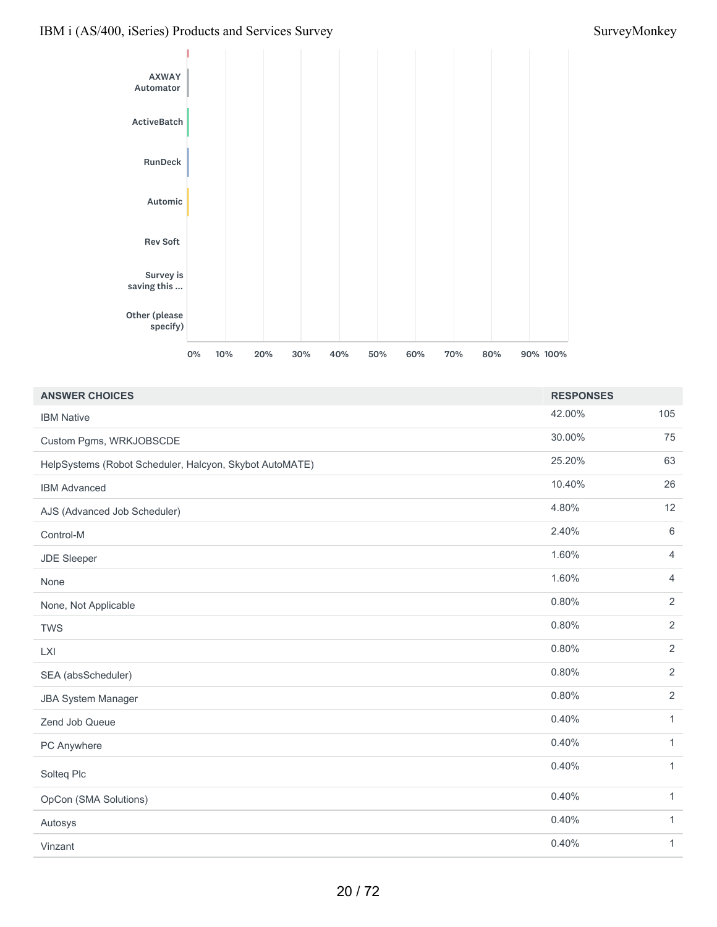

| <b>ANSWER CHOICES</b>                                   | <b>RESPONSES</b> |                |
|---------------------------------------------------------|------------------|----------------|
| <b>IBM Native</b>                                       | 42.00%           | 105            |
| Custom Pgms, WRKJOBSCDE                                 | 30.00%           | 75             |
| HelpSystems (Robot Scheduler, Halcyon, Skybot AutoMATE) | 25.20%           | 63             |
| <b>IBM Advanced</b>                                     | 10.40%           | 26             |
| AJS (Advanced Job Scheduler)                            | 4.80%            | 12             |
| Control-M                                               | 2.40%            | $\,6\,$        |
| <b>JDE Sleeper</b>                                      | 1.60%            | $\overline{4}$ |
| None                                                    | 1.60%            | $\overline{4}$ |
| None, Not Applicable                                    | 0.80%            | 2              |
| <b>TWS</b>                                              | 0.80%            | $\overline{2}$ |
| <b>LXI</b>                                              | 0.80%            | $\overline{2}$ |
| SEA (absScheduler)                                      | 0.80%            | 2              |
| <b>JBA System Manager</b>                               | 0.80%            | $\overline{2}$ |
| Zend Job Queue                                          | 0.40%            | $\mathbf{1}$   |
| PC Anywhere                                             | 0.40%            | $\mathbf{1}$   |
| Solteq Plc                                              | 0.40%            | $\mathbf{1}$   |
| OpCon (SMA Solutions)                                   | 0.40%            | $\mathbf{1}$   |
| Autosys                                                 | 0.40%            | 1              |
| Vinzant                                                 | 0.40%            | $\mathbf{1}$   |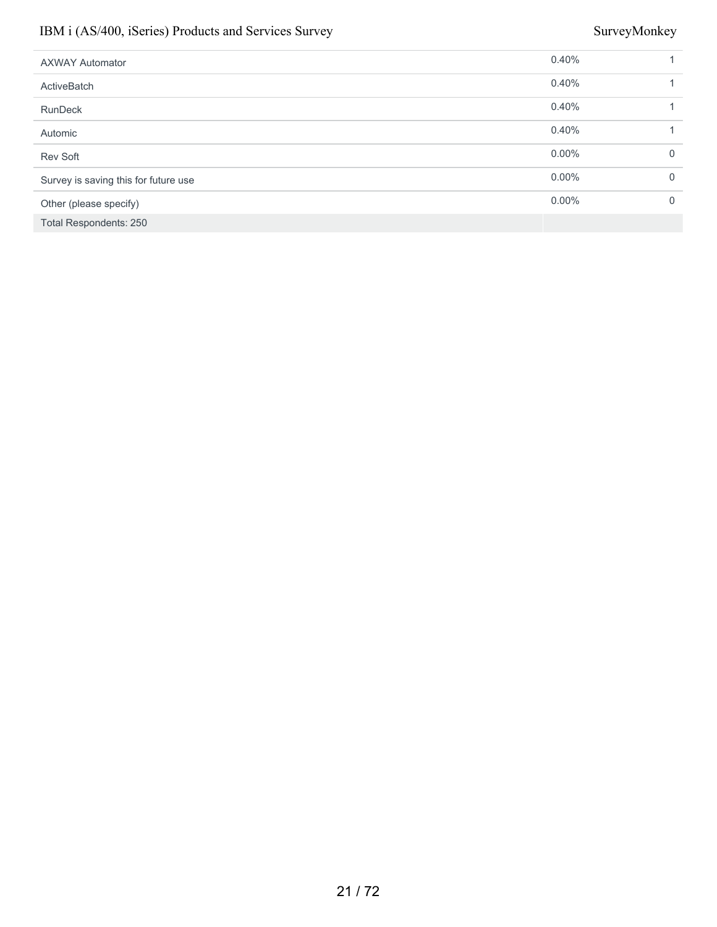| <b>AXWAY Automator</b>               | 0.40%    |              |
|--------------------------------------|----------|--------------|
| <b>ActiveBatch</b>                   | 0.40%    |              |
| <b>RunDeck</b>                       | 0.40%    |              |
| Automic                              | 0.40%    |              |
| Rev Soft                             | $0.00\%$ | $\mathbf 0$  |
| Survey is saving this for future use | $0.00\%$ | $\mathbf{0}$ |
| Other (please specify)               | $0.00\%$ | $\mathbf 0$  |
| <b>Total Respondents: 250</b>        |          |              |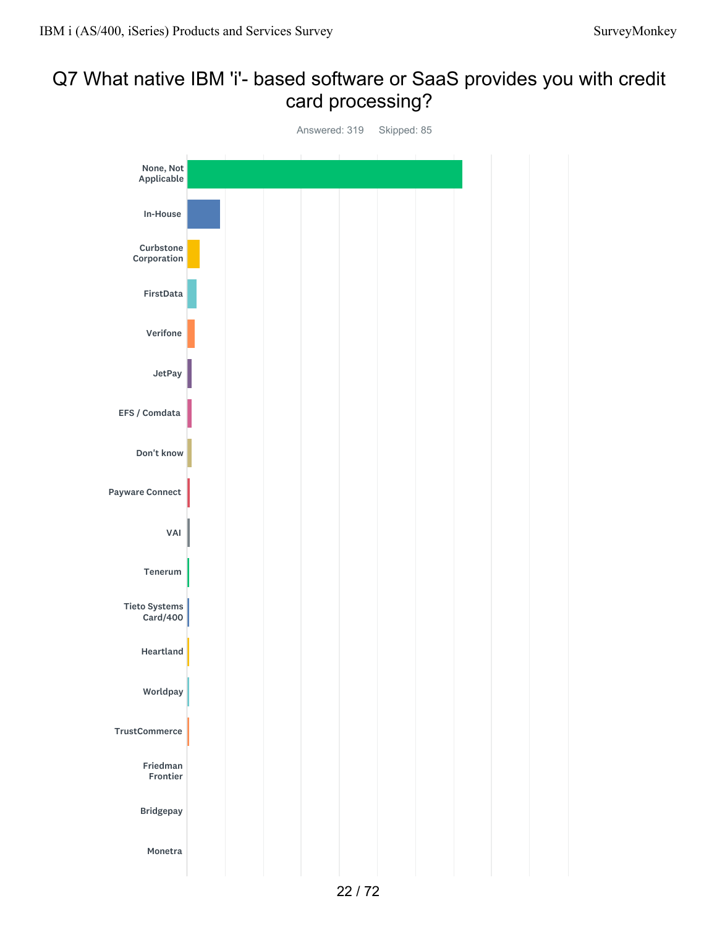## Q7 What native IBM 'i'- based software or SaaS provides you with credit card processing?

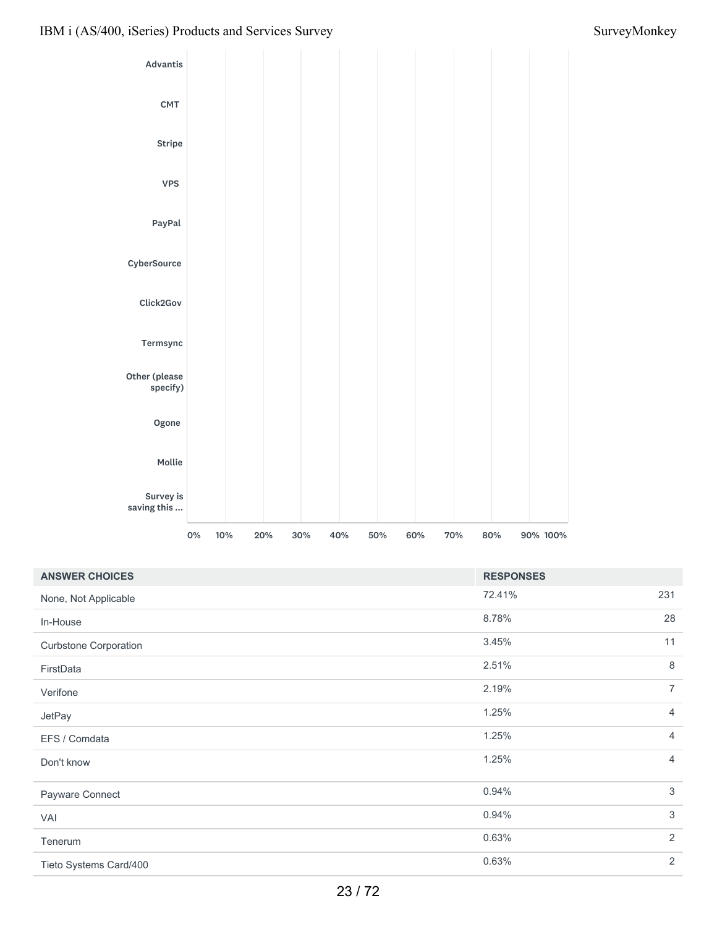

| <b>ANSWER CHOICES</b>        | <b>RESPONSES</b> |                |
|------------------------------|------------------|----------------|
| None, Not Applicable         | 72.41%           | 231            |
| In-House                     | 8.78%            | 28             |
| <b>Curbstone Corporation</b> | 3.45%            | 11             |
| FirstData                    | 2.51%            | $\,8\,$        |
| Verifone                     | 2.19%            | $\overline{7}$ |
| JetPay                       | 1.25%            | $\overline{4}$ |
| EFS / Comdata                | 1.25%            | $\overline{4}$ |
| Don't know                   | 1.25%            | $\overline{4}$ |
| Payware Connect              | 0.94%            | $\sqrt{3}$     |
| VAI                          | 0.94%            | $\mathfrak{Z}$ |
| Tenerum                      | 0.63%            | $\overline{2}$ |
| Tieto Systems Card/400       | 0.63%            | $\overline{2}$ |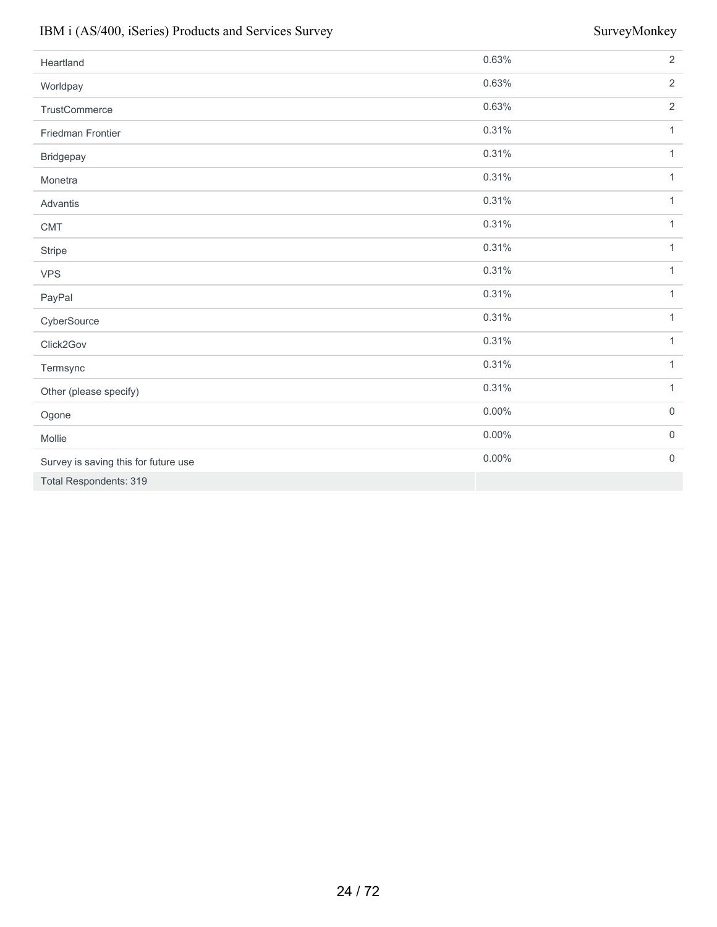| Heartland                            | 0.63%    | $\overline{2}$   |
|--------------------------------------|----------|------------------|
| Worldpay                             | 0.63%    | $\overline{2}$   |
| TrustCommerce                        | 0.63%    | $\overline{2}$   |
| Friedman Frontier                    | 0.31%    | $\mathbf{1}$     |
| Bridgepay                            | 0.31%    | $\mathbf{1}$     |
| Monetra                              | 0.31%    | $\mathbf{1}$     |
| Advantis                             | 0.31%    | $\mathbf{1}$     |
| <b>CMT</b>                           | 0.31%    | $\mathbf{1}$     |
| Stripe                               | 0.31%    | $\mathbf{1}$     |
| <b>VPS</b>                           | 0.31%    | $\mathbf{1}$     |
| PayPal                               | 0.31%    | $\mathbf{1}$     |
| CyberSource                          | 0.31%    | $\mathbf{1}$     |
| Click2Gov                            | 0.31%    | $\mathbf{1}$     |
| Termsync                             | 0.31%    | $\mathbf{1}$     |
| Other (please specify)               | 0.31%    | $\mathbf{1}$     |
| Ogone                                | $0.00\%$ | $\boldsymbol{0}$ |
| Mollie                               | $0.00\%$ | $\boldsymbol{0}$ |
| Survey is saving this for future use | $0.00\%$ | $\mathbf 0$      |
| <b>Total Respondents: 319</b>        |          |                  |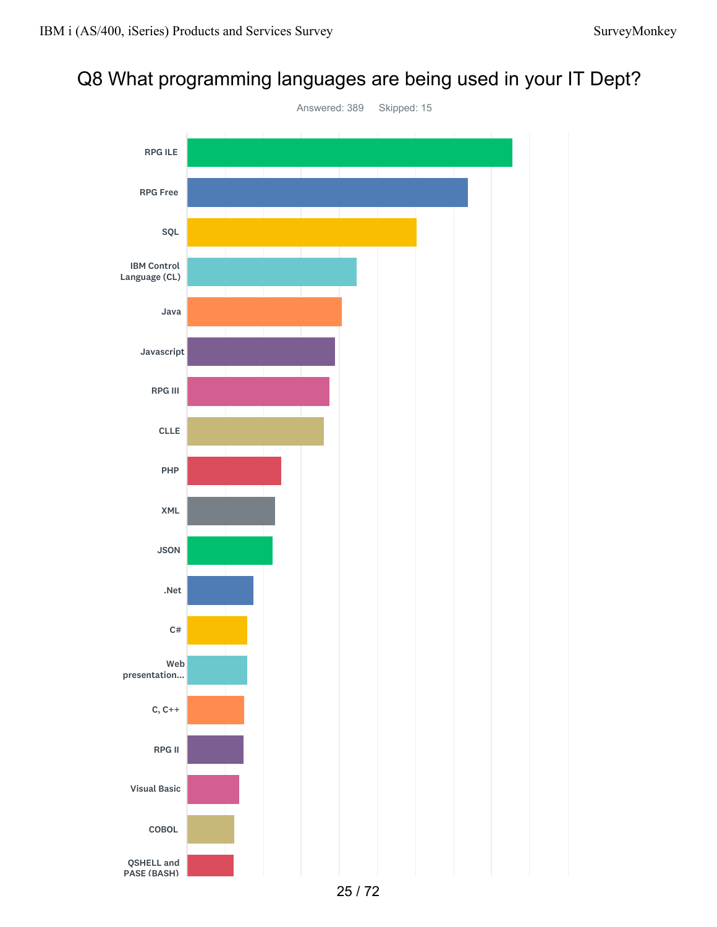## Q8 What programming languages are being used in your IT Dept?

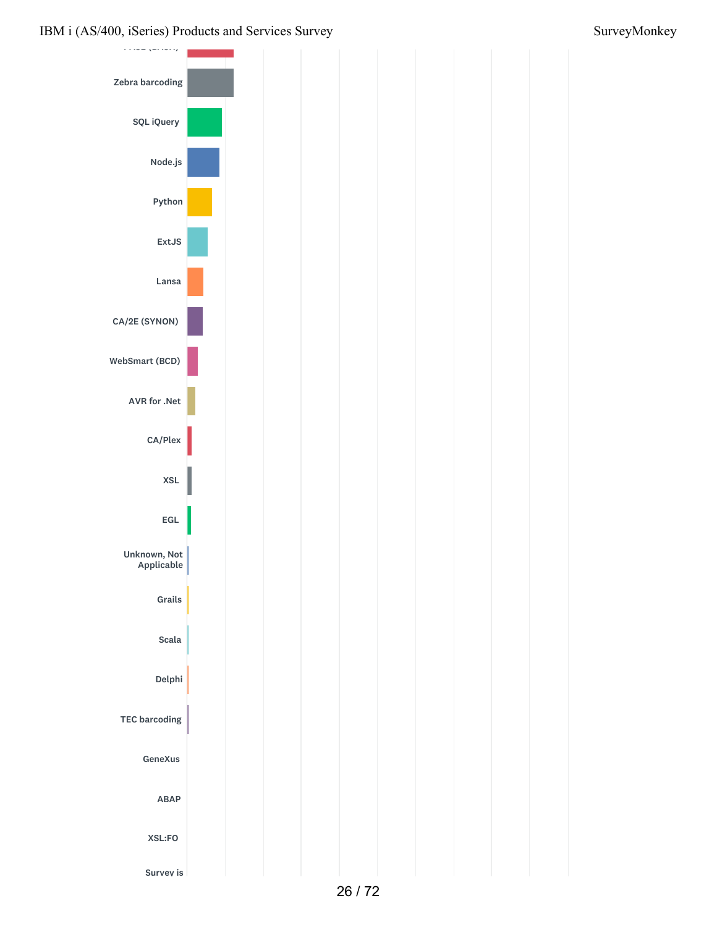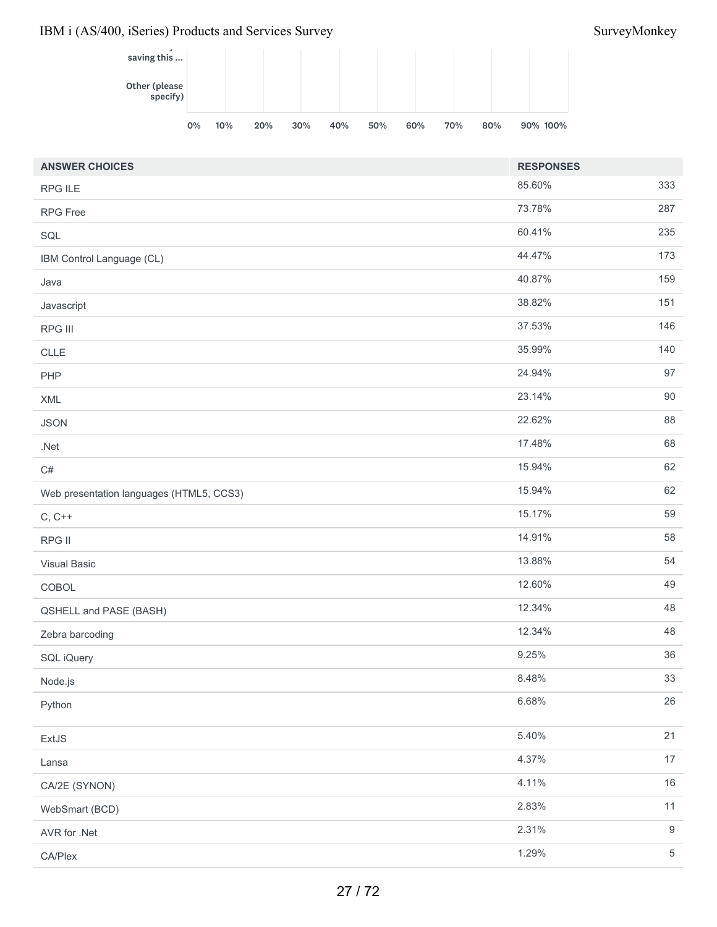

| <b>ANSWER CHOICES</b>                    | <b>RESPONSES</b> |            |
|------------------------------------------|------------------|------------|
| <b>RPG ILE</b>                           | 85.60%           | 333        |
| <b>RPG Free</b>                          | 73.78%           | 287        |
| SQL                                      | 60.41%           | 235        |
| IBM Control Language (CL)                | 44.47%           | 173        |
| Java                                     | 40.87%           | 159        |
| Javascript                               | 38.82%           | 151        |
| RPG III                                  | 37.53%           | 146        |
| CLLE                                     | 35.99%           | 140        |
| PHP                                      | 24.94%           | 97         |
| XML                                      | 23.14%           | 90         |
| <b>JSON</b>                              | 22.62%           | 88         |
| $.$ Net                                  | 17.48%           | 68         |
| C#                                       | 15.94%           | 62         |
| Web presentation languages (HTML5, CCS3) | 15.94%           | 62         |
| $C, C++$                                 | 15.17%           | 59         |
| RPG II                                   | 14.91%           | 58         |
| <b>Visual Basic</b>                      | 13.88%           | 54         |
| COBOL                                    | 12.60%           | 49         |
| QSHELL and PASE (BASH)                   | 12.34%           | 48         |
| Zebra barcoding                          | 12.34%           | 48         |
| SQL iQuery                               | 9.25%            | 36         |
| Node.js                                  | 8.48%            | 33         |
| Python                                   | 6.68%            | 26         |
| ExtJS                                    | 5.40%            | 21         |
| Lansa                                    | 4.37%            | 17         |
| CA/2E (SYNON)                            | 4.11%            | 16         |
| WebSmart (BCD)                           | 2.83%            | 11         |
| AVR for .Net                             | 2.31%            | $9\,$      |
| CA/Plex                                  | 1.29%            | $\sqrt{5}$ |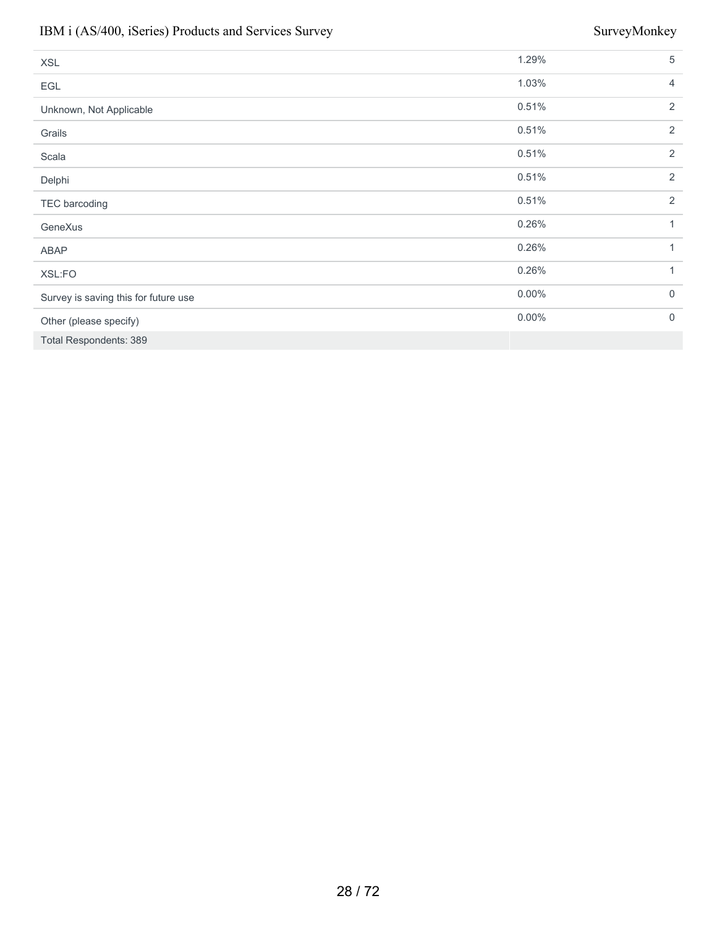| <b>XSL</b>                           | 1.29%    | 5           |
|--------------------------------------|----------|-------------|
| EGL                                  | 1.03%    | 4           |
| Unknown, Not Applicable              | 0.51%    | 2           |
| Grails                               | 0.51%    | 2           |
| Scala                                | 0.51%    | 2           |
| Delphi                               | 0.51%    | 2           |
| TEC barcoding                        | 0.51%    | 2           |
| GeneXus                              | 0.26%    | 1           |
| ABAP                                 | 0.26%    | 1           |
| XSL:FO                               | 0.26%    | 1           |
| Survey is saving this for future use | $0.00\%$ | $\mathbf 0$ |
| Other (please specify)               | $0.00\%$ | $\mathbf 0$ |
| <b>Total Respondents: 389</b>        |          |             |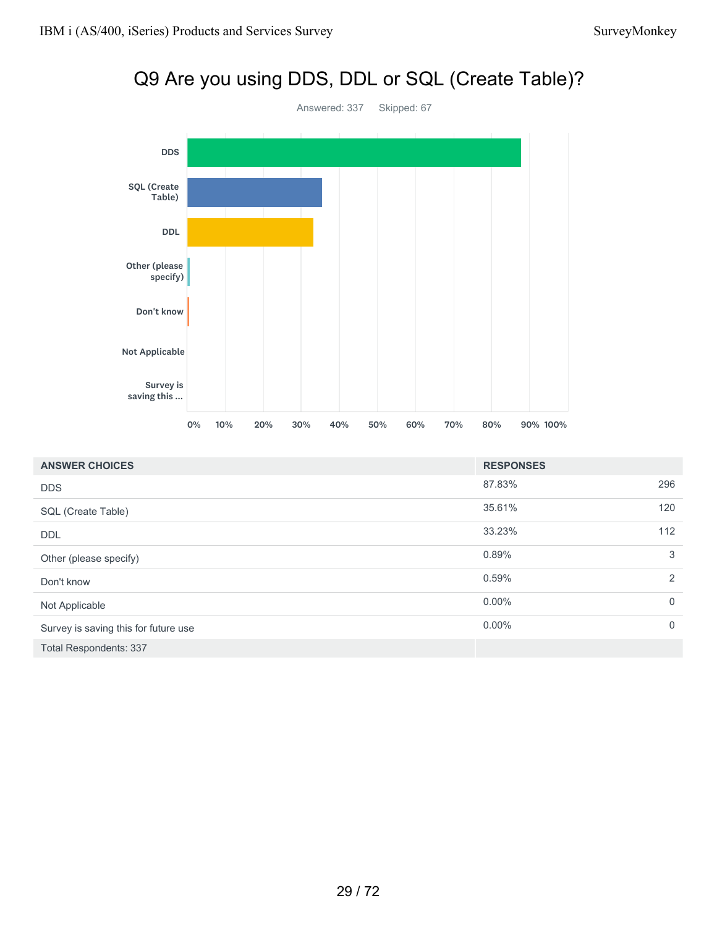# Q9 Are you using DDS, DDL or SQL (Create Table)? Answered: 337 Skipped: 67 DDS SQL (Create Table) DDL Other (please specify) Don't know Not Applicable Survey is saving this ... 0% 10% 20% 30% 40% 50% 60% 70% 80% 90% 100%

| <b>ANSWER CHOICES</b>                | <b>RESPONSES</b> |             |
|--------------------------------------|------------------|-------------|
| <b>DDS</b>                           | 87.83%           | 296         |
| SQL (Create Table)                   | 35.61%           | 120         |
| DDL                                  | 33.23%           | 112         |
| Other (please specify)               | 0.89%            | 3           |
| Don't know                           | 0.59%            | 2           |
| Not Applicable                       | $0.00\%$         | $\mathbf 0$ |
| Survey is saving this for future use | $0.00\%$         | $\mathbf 0$ |
| <b>Total Respondents: 337</b>        |                  |             |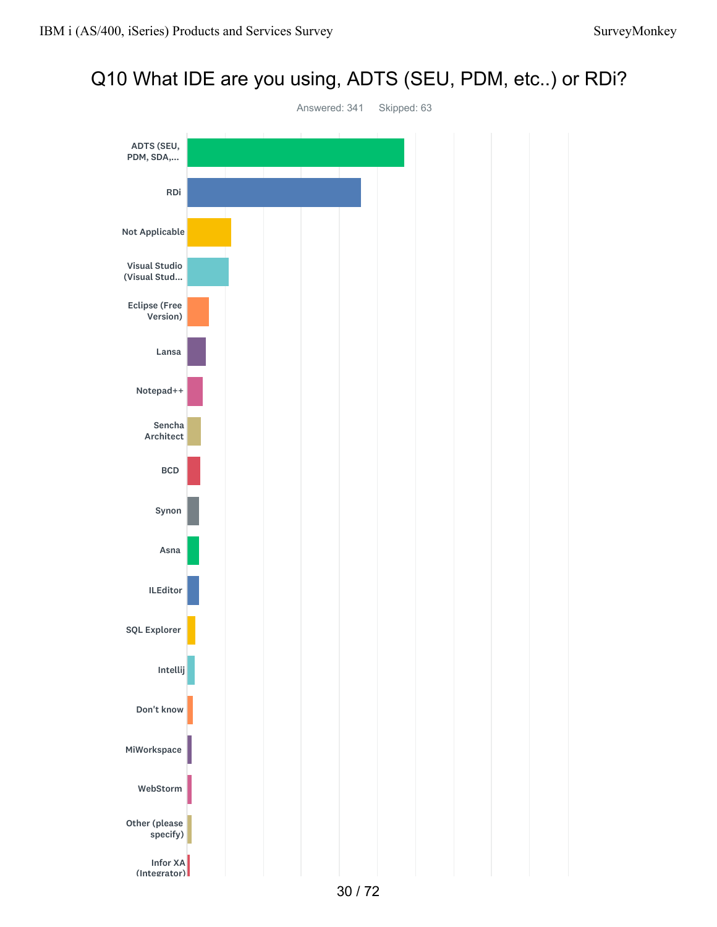## Q10 What IDE are you using, ADTS (SEU, PDM, etc..) or RDi?

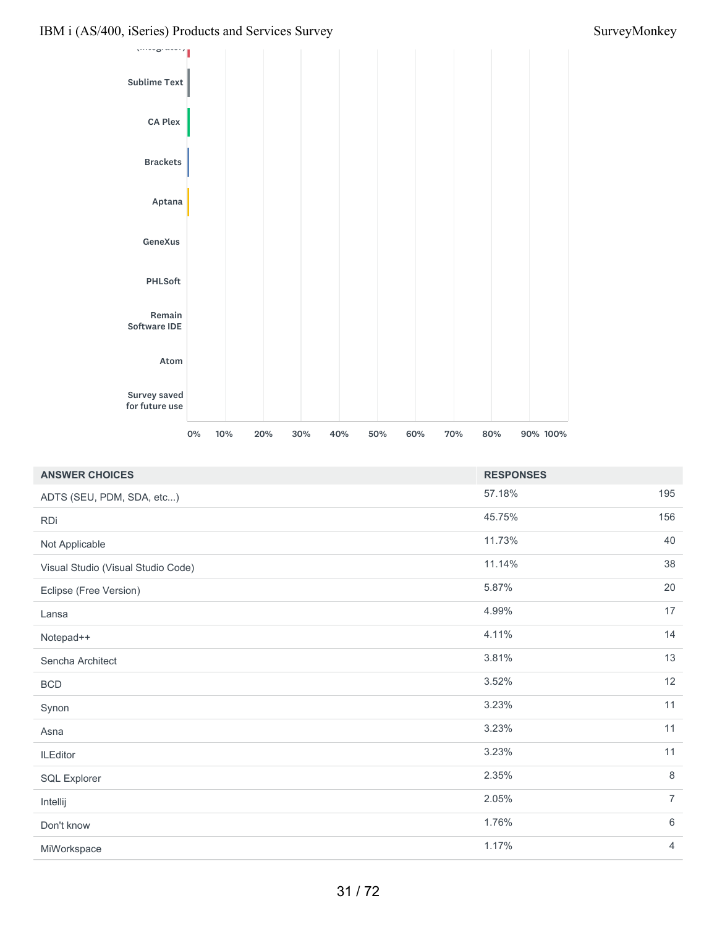

| <b>ANSWER CHOICES</b>              | <b>RESPONSES</b> |                |
|------------------------------------|------------------|----------------|
| ADTS (SEU, PDM, SDA, etc)          | 57.18%           | 195            |
| <b>RDi</b>                         | 45.75%           | 156            |
| Not Applicable                     | 11.73%           | 40             |
| Visual Studio (Visual Studio Code) | 11.14%           | 38             |
| Eclipse (Free Version)             | 5.87%            | 20             |
| Lansa                              | 4.99%            | 17             |
| Notepad++                          | 4.11%            | 14             |
| Sencha Architect                   | 3.81%            | 13             |
| <b>BCD</b>                         | 3.52%            | 12             |
| Synon                              | 3.23%            | 11             |
| Asna                               | 3.23%            | 11             |
| <b>ILEditor</b>                    | 3.23%            | 11             |
| <b>SQL Explorer</b>                | 2.35%            | 8              |
| Intellij                           | 2.05%            | $\overline{7}$ |
| Don't know                         | 1.76%            | $\,6\,$        |
| MiWorkspace                        | 1.17%            | $\overline{4}$ |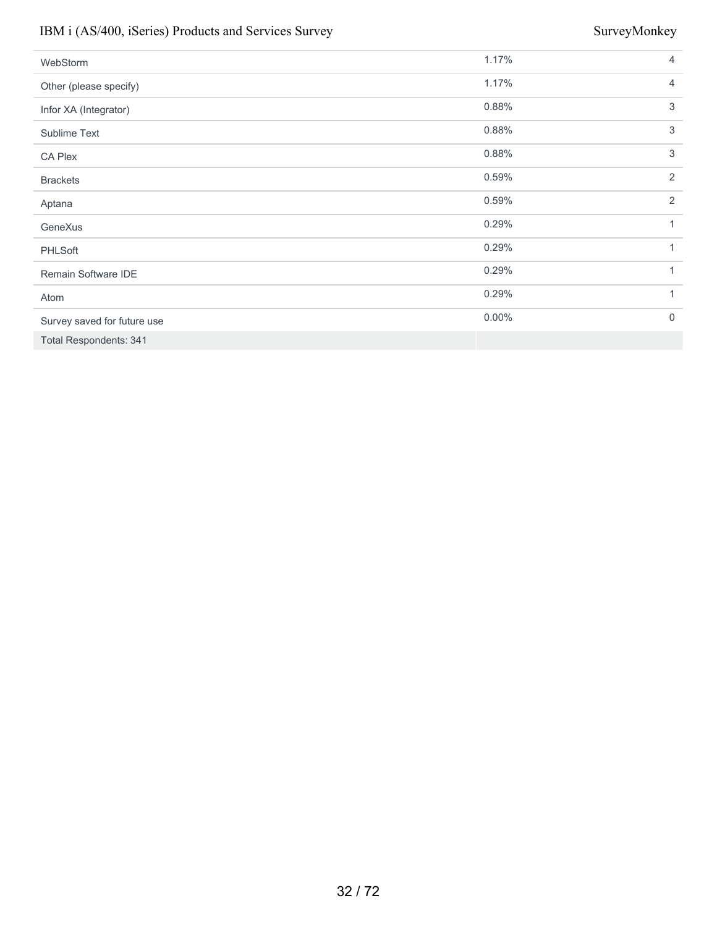| WebStorm                      | 1.17%    | $\overline{4}$ |
|-------------------------------|----------|----------------|
| Other (please specify)        | 1.17%    | $\overline{4}$ |
| Infor XA (Integrator)         | 0.88%    | 3              |
| Sublime Text                  | 0.88%    | 3              |
| <b>CA Plex</b>                | 0.88%    | 3              |
| <b>Brackets</b>               | 0.59%    | 2              |
| Aptana                        | 0.59%    | 2              |
| GeneXus                       | 0.29%    | 1              |
| <b>PHLSoft</b>                | 0.29%    | 1              |
| Remain Software IDE           | 0.29%    | 1              |
| Atom                          | 0.29%    | 1              |
| Survey saved for future use   | $0.00\%$ | $\mathbf 0$    |
| <b>Total Respondents: 341</b> |          |                |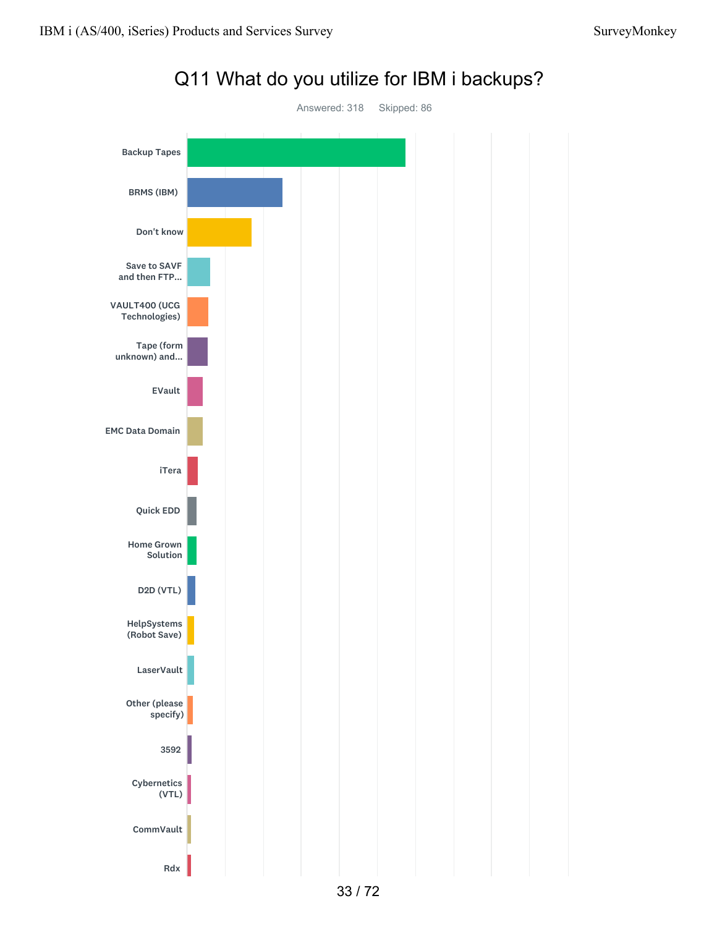

## Q11 What do you utilize for IBM i backups?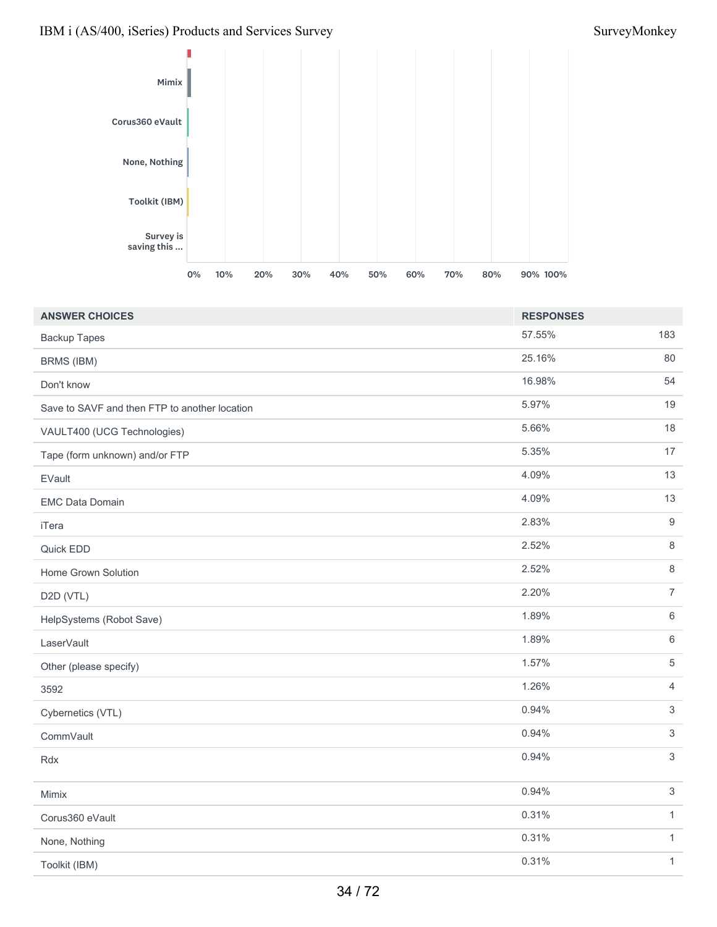

| <b>ANSWER CHOICES</b>                         | <b>RESPONSES</b> |                  |
|-----------------------------------------------|------------------|------------------|
| <b>Backup Tapes</b>                           | 57.55%           | 183              |
| BRMS (IBM)                                    | 25.16%           | 80               |
| Don't know                                    | 16.98%           | 54               |
| Save to SAVF and then FTP to another location | 5.97%            | 19               |
| VAULT400 (UCG Technologies)                   | 5.66%            | 18               |
| Tape (form unknown) and/or FTP                | 5.35%            | 17               |
| EVault                                        | 4.09%            | 13               |
| <b>EMC Data Domain</b>                        | 4.09%            | 13               |
| iTera                                         | 2.83%            | $\boldsymbol{9}$ |
| Quick EDD                                     | 2.52%            | $\,8\,$          |
| Home Grown Solution                           | 2.52%            | 8                |
| D2D (VTL)                                     | 2.20%            | $\overline{7}$   |
| HelpSystems (Robot Save)                      | 1.89%            | 6                |
| LaserVault                                    | 1.89%            | $\,6\,$          |
| Other (please specify)                        | 1.57%            | $\sqrt{5}$       |
| 3592                                          | 1.26%            | $\overline{4}$   |
| Cybernetics (VTL)                             | 0.94%            | $\mathfrak{Z}$   |
| CommVault                                     | 0.94%            | 3                |
| Rdx                                           | 0.94%            | $\mathfrak{S}$   |
| Mimix                                         | 0.94%            | $\mathbf{3}$     |
| Corus360 eVault                               | 0.31%            | $\mathbf{1}$     |
| None, Nothing                                 | 0.31%            | $\mathbf{1}$     |
| Toolkit (IBM)                                 | 0.31%            | $\mathbf{1}$     |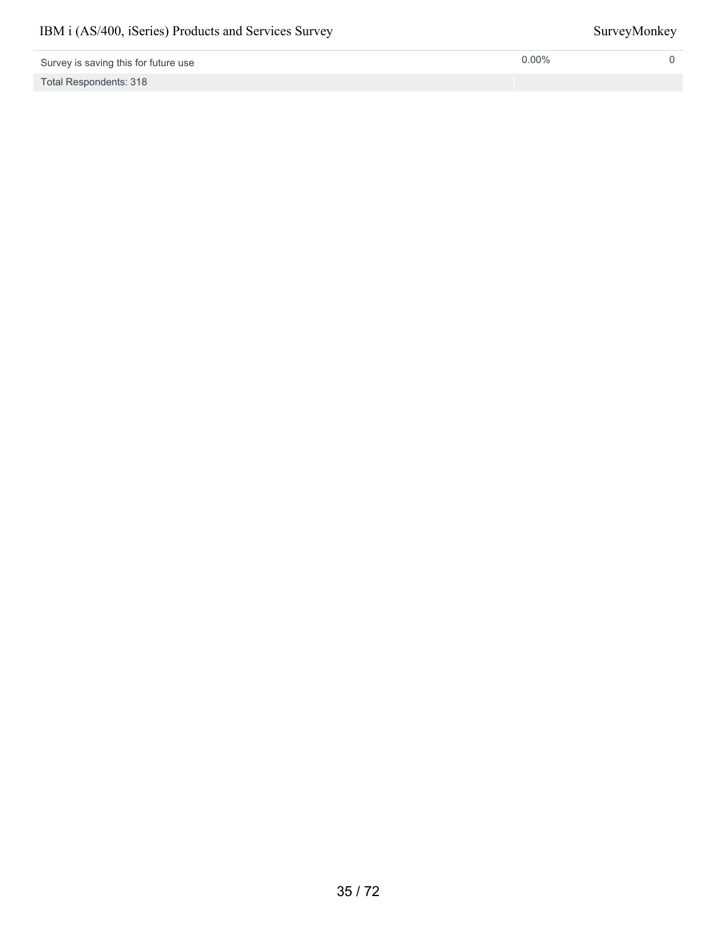Total Respondents: 318

0.00% 0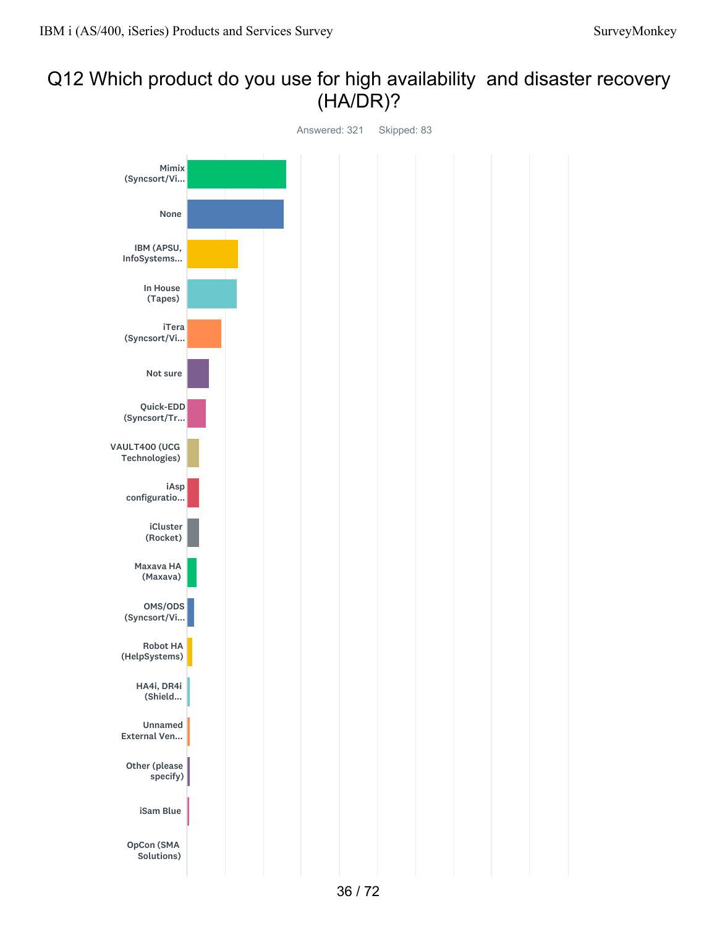## Q12 Which product do you use for high availability and disaster recovery (HA/DR)?

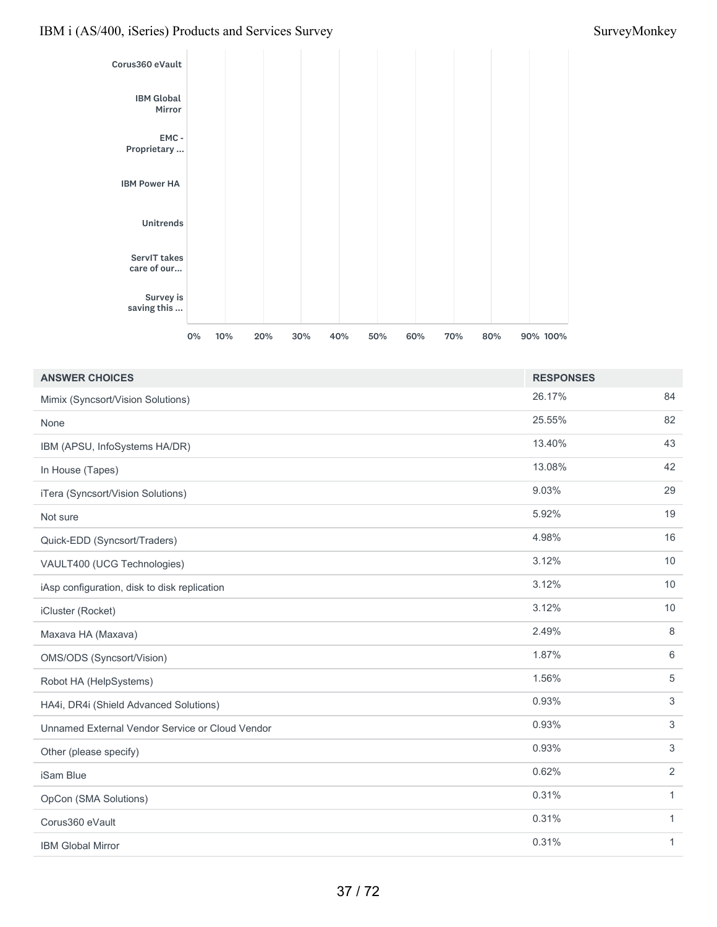

| <b>ANSWER CHOICES</b>                           | <b>RESPONSES</b> |                |
|-------------------------------------------------|------------------|----------------|
| Mimix (Syncsort/Vision Solutions)               | 26.17%           | 84             |
| None                                            | 25.55%           | 82             |
| IBM (APSU, InfoSystems HA/DR)                   | 13.40%           | 43             |
| In House (Tapes)                                | 13.08%           | 42             |
| iTera (Syncsort/Vision Solutions)               | 9.03%            | 29             |
| Not sure                                        | 5.92%            | 19             |
| Quick-EDD (Syncsort/Traders)                    | 4.98%            | 16             |
| VAULT400 (UCG Technologies)                     | 3.12%            | 10             |
| iAsp configuration, disk to disk replication    | 3.12%            | $10$           |
| iCluster (Rocket)                               | 3.12%            | 10             |
| Maxava HA (Maxava)                              | 2.49%            | 8              |
| OMS/ODS (Syncsort/Vision)                       | 1.87%            | 6              |
| Robot HA (HelpSystems)                          | 1.56%            | $\sqrt{5}$     |
| HA4i, DR4i (Shield Advanced Solutions)          | 0.93%            | $\mathfrak{S}$ |
| Unnamed External Vendor Service or Cloud Vendor | 0.93%            | 3              |
| Other (please specify)                          | 0.93%            | $\mathfrak{S}$ |
| iSam Blue                                       | 0.62%            | $\overline{2}$ |
| OpCon (SMA Solutions)                           | 0.31%            | $\mathbf{1}$   |
| Corus360 eVault                                 | 0.31%            | $\mathbf{1}$   |
| <b>IBM Global Mirror</b>                        | 0.31%            | $\mathbf{1}$   |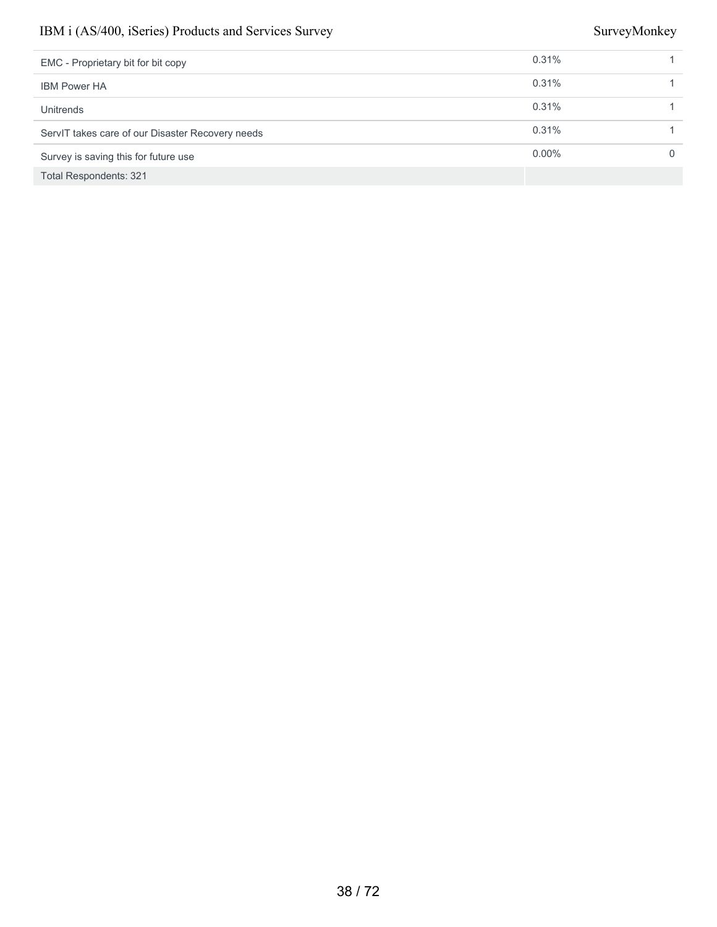| EMC - Proprietary bit for bit copy               | 0.31%    |   |
|--------------------------------------------------|----------|---|
| <b>IBM Power HA</b>                              | 0.31%    |   |
| Unitrends                                        | 0.31%    |   |
| ServIT takes care of our Disaster Recovery needs | 0.31%    |   |
| Survey is saving this for future use             | $0.00\%$ | 0 |
| <b>Total Respondents: 321</b>                    |          |   |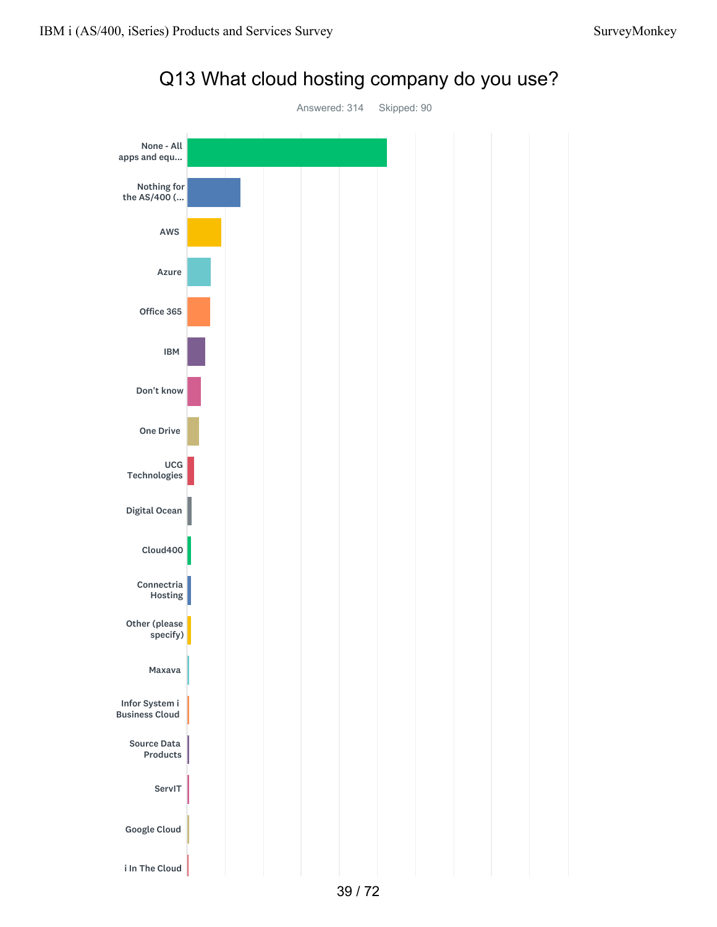

# Q13 What cloud hosting company do you use?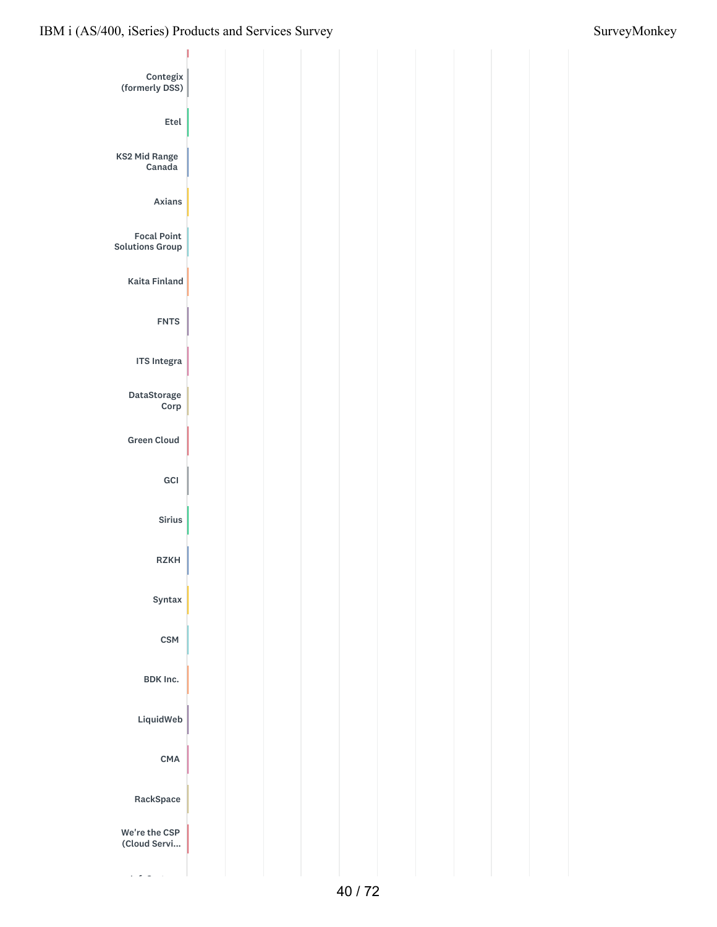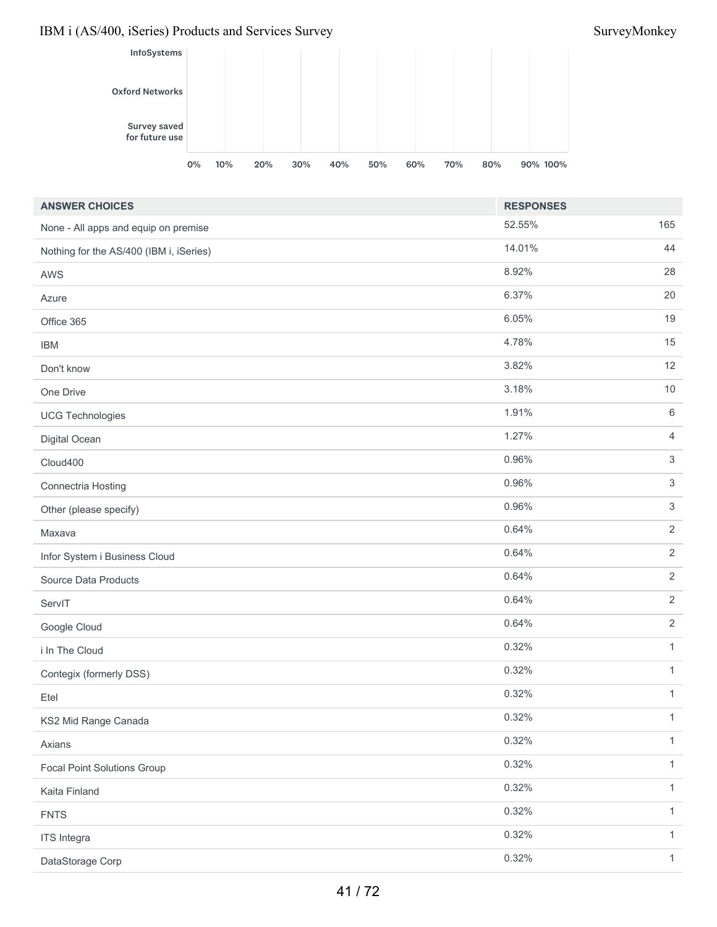

| <b>ANSWER CHOICES</b>                   | <b>RESPONSES</b> |                |
|-----------------------------------------|------------------|----------------|
| None - All apps and equip on premise    | 52.55%           | 165            |
| Nothing for the AS/400 (IBM i, iSeries) | 14.01%           | 44             |
| <b>AWS</b>                              | 8.92%            | 28             |
| Azure                                   | 6.37%            | 20             |
| Office 365                              | 6.05%            | 19             |
| <b>IBM</b>                              | 4.78%            | 15             |
| Don't know                              | 3.82%            | 12             |
| One Drive                               | 3.18%            | $10\,$         |
| <b>UCG Technologies</b>                 | 1.91%            | 6              |
| Digital Ocean                           | 1.27%            | $\overline{4}$ |
| Cloud400                                | 0.96%            | $\mathfrak{S}$ |
| Connectria Hosting                      | 0.96%            | $\mathfrak{S}$ |
| Other (please specify)                  | 0.96%            | $\mathfrak{S}$ |
| Maxava                                  | 0.64%            | $\overline{2}$ |
| Infor System i Business Cloud           | 0.64%            | $\overline{2}$ |
| Source Data Products                    | 0.64%            | $\overline{2}$ |
| ServIT                                  | 0.64%            | $\overline{2}$ |
| Google Cloud                            | 0.64%            | $\overline{2}$ |
| i In The Cloud                          | 0.32%            | $\mathbf{1}$   |
| Contegix (formerly DSS)                 | 0.32%            | $\mathbf{1}$   |
| Etel                                    | 0.32%            | $\mathbf{1}$   |
| KS2 Mid Range Canada                    | 0.32%            | 1              |
| Axians                                  | 0.32%            | $\mathbf{1}$   |
| <b>Focal Point Solutions Group</b>      | 0.32%            | $\mathbf{1}$   |
| Kaita Finland                           | 0.32%            | $\mathbf{1}$   |
| <b>FNTS</b>                             | 0.32%            | $\mathbf{1}$   |
| <b>ITS</b> Integra                      | 0.32%            | $\mathbf{1}$   |
| DataStorage Corp                        | 0.32%            | $\mathbf{1}$   |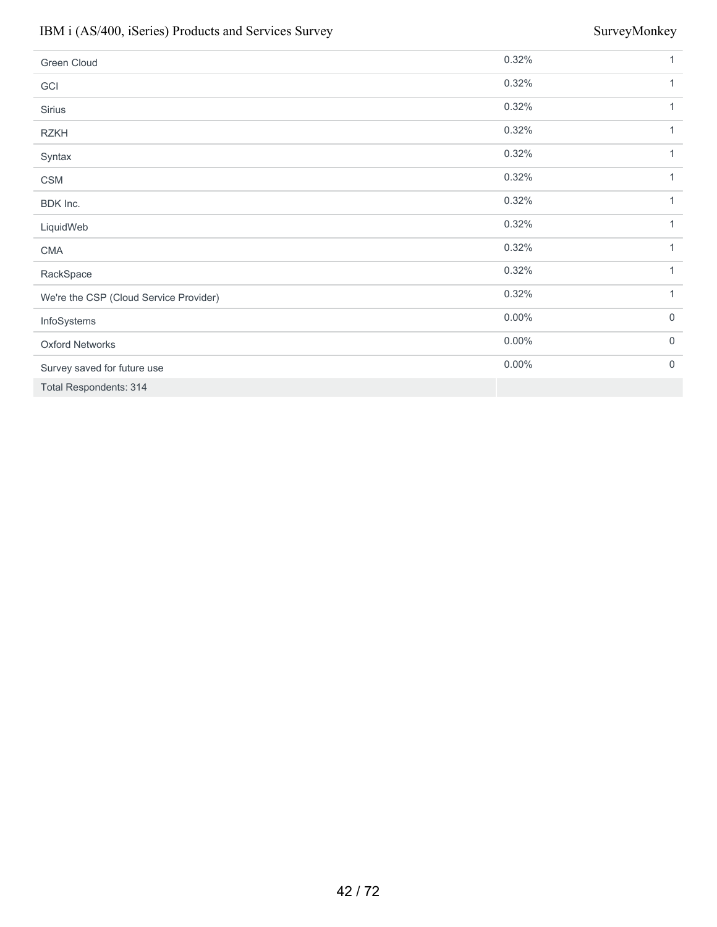| Green Cloud                            | 0.32%    | 1            |
|----------------------------------------|----------|--------------|
| GCI                                    | 0.32%    | 1            |
| Sirius                                 | 0.32%    | 1            |
| <b>RZKH</b>                            | 0.32%    | 1            |
| Syntax                                 | 0.32%    | $\mathbf{1}$ |
| <b>CSM</b>                             | 0.32%    | 1            |
| BDK Inc.                               | 0.32%    | 1            |
| LiquidWeb                              | 0.32%    | 1            |
| <b>CMA</b>                             | 0.32%    | $\mathbf{1}$ |
| RackSpace                              | 0.32%    | $\mathbf{1}$ |
| We're the CSP (Cloud Service Provider) | 0.32%    | 1            |
| InfoSystems                            | $0.00\%$ | $\mathbf 0$  |
| <b>Oxford Networks</b>                 | $0.00\%$ | $\mathbf 0$  |
| Survey saved for future use            | $0.00\%$ | $\mathbf 0$  |
| <b>Total Respondents: 314</b>          |          |              |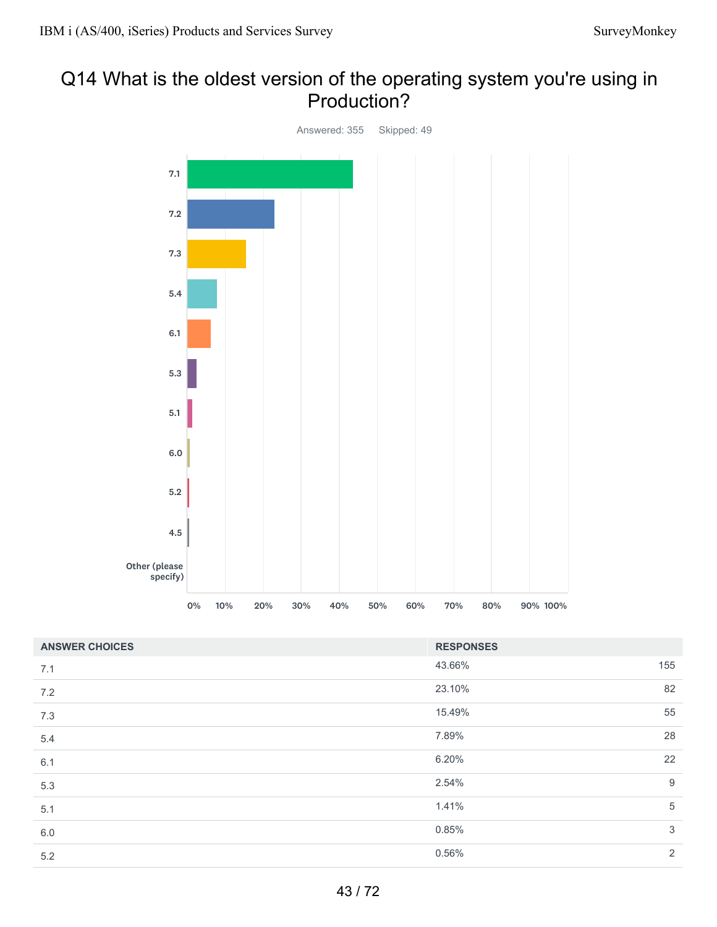# Q14 What is the oldest version of the operating system you're using in Production?



| <b>ANSWER CHOICES</b> | <b>RESPONSES</b> |                  |
|-----------------------|------------------|------------------|
| 7.1                   | 43.66%           | 155              |
| 7.2                   | 23.10%           | 82               |
| 7.3                   | 15.49%           | 55               |
| 5.4                   | 7.89%            | 28               |
| 6.1                   | 6.20%            | 22               |
| 5.3                   | 2.54%            | $\boldsymbol{9}$ |
| 5.1                   | 1.41%            | $\overline{5}$   |
| $6.0\,$               | 0.85%            | 3                |
| 5.2                   | 0.56%            | 2                |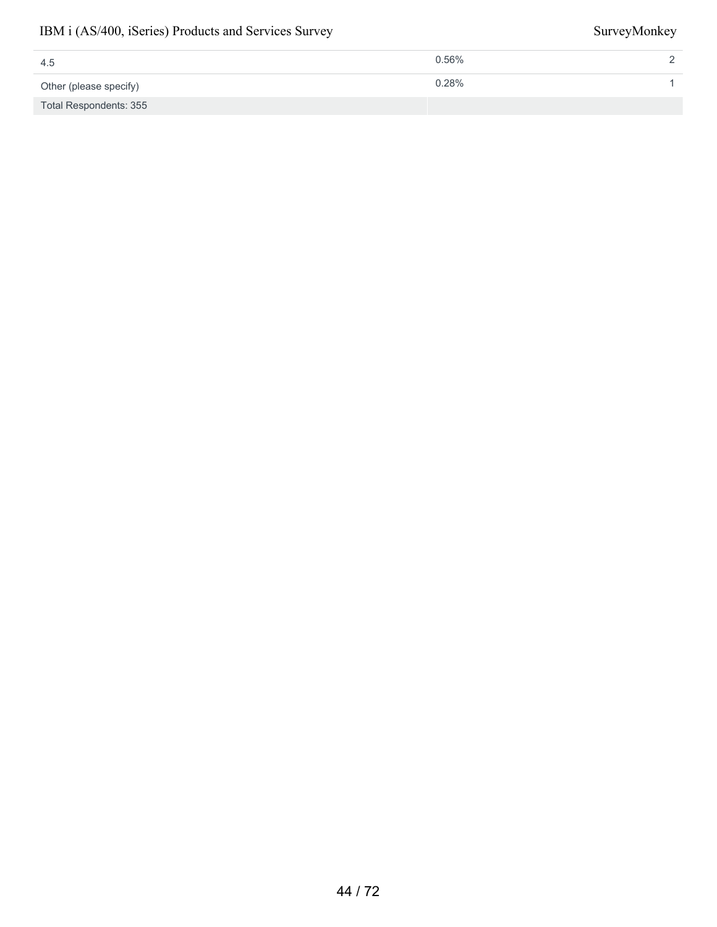| 4.5                    | $0.56\%$ |  |
|------------------------|----------|--|
| Other (please specify) | 0.28%    |  |
| Total Respondents: 355 |          |  |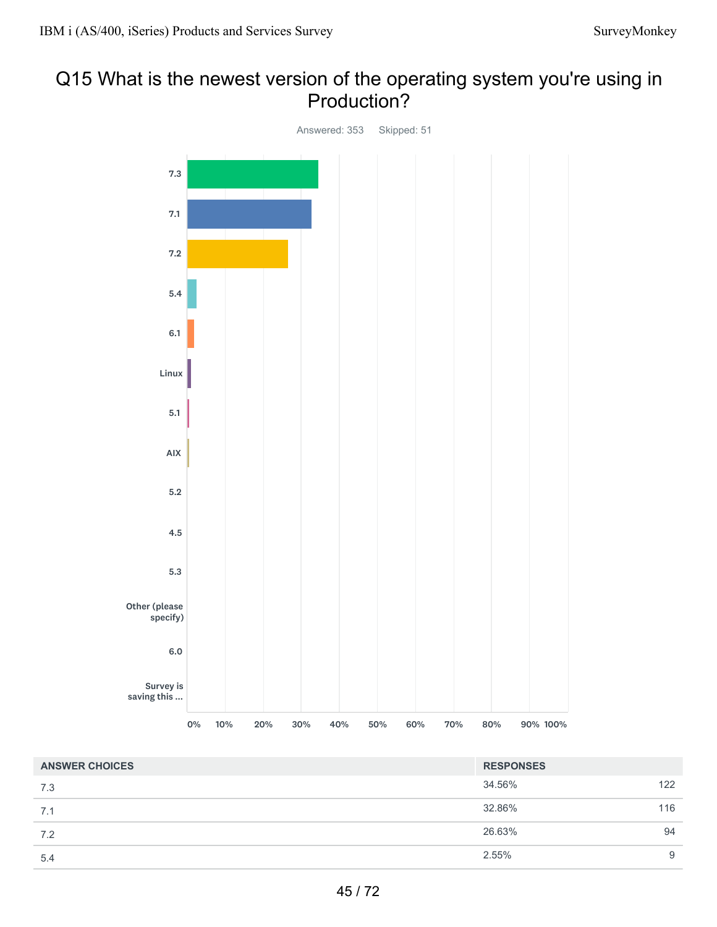# Q15 What is the newest version of the operating system you're using in Production?



| <b>ANSWER CHOICES</b> | <b>RESPONSES</b> |     |
|-----------------------|------------------|-----|
| 7.3                   | 34.56%           | 122 |
| 7.1                   | 32.86%           | 116 |
| 7.2                   | 26.63%           | 94  |
| 5.4                   | 2.55%            | 9   |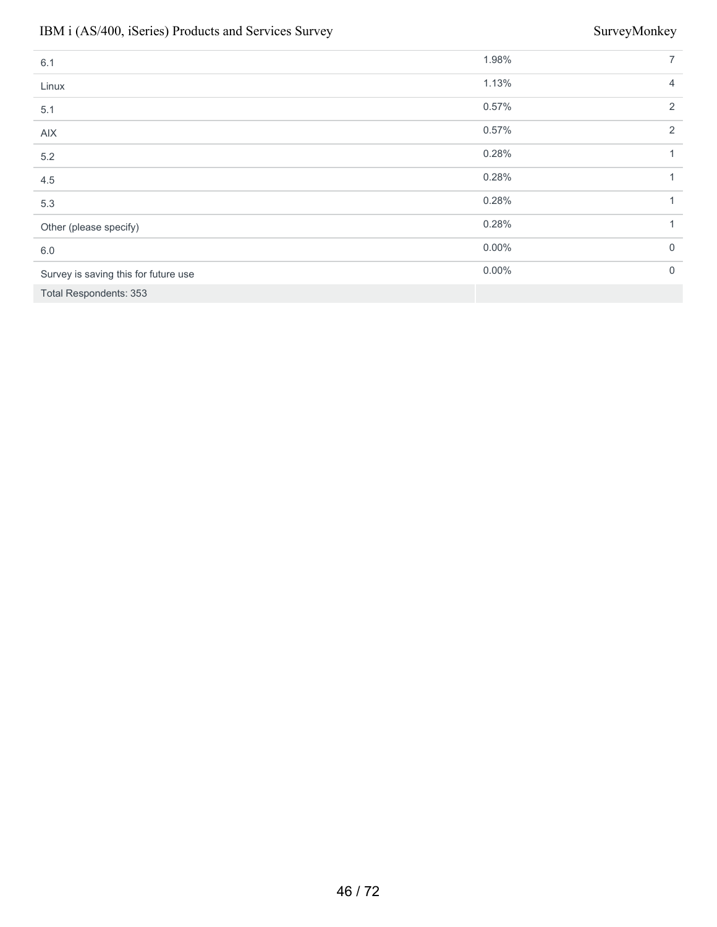| 6.1                                  | 1.98%    | $\overline{7}$ |
|--------------------------------------|----------|----------------|
| Linux                                | 1.13%    | $\overline{4}$ |
| 5.1                                  | 0.57%    | 2              |
| AIX                                  | 0.57%    | 2              |
| 5.2                                  | 0.28%    | 1              |
| 4.5                                  | 0.28%    | 1              |
| 5.3                                  | 0.28%    | 1              |
| Other (please specify)               | 0.28%    | 1              |
| 6.0                                  | $0.00\%$ | $\mathbf 0$    |
| Survey is saving this for future use | $0.00\%$ | $\mathbf 0$    |
| <b>Total Respondents: 353</b>        |          |                |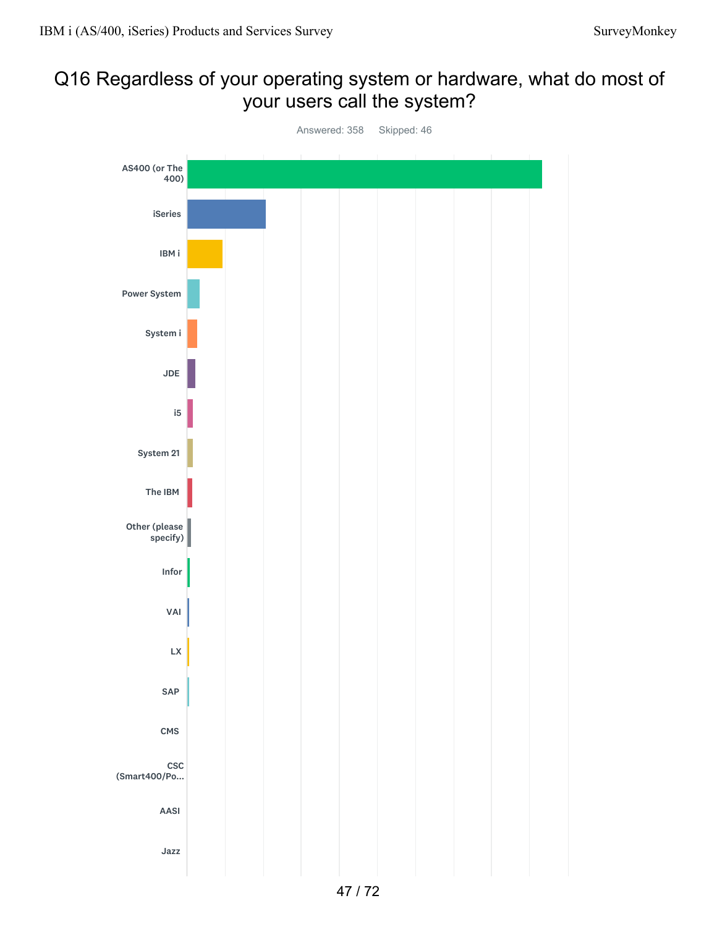# Q16 Regardless of your operating system or hardware, what do most of your users call the system?

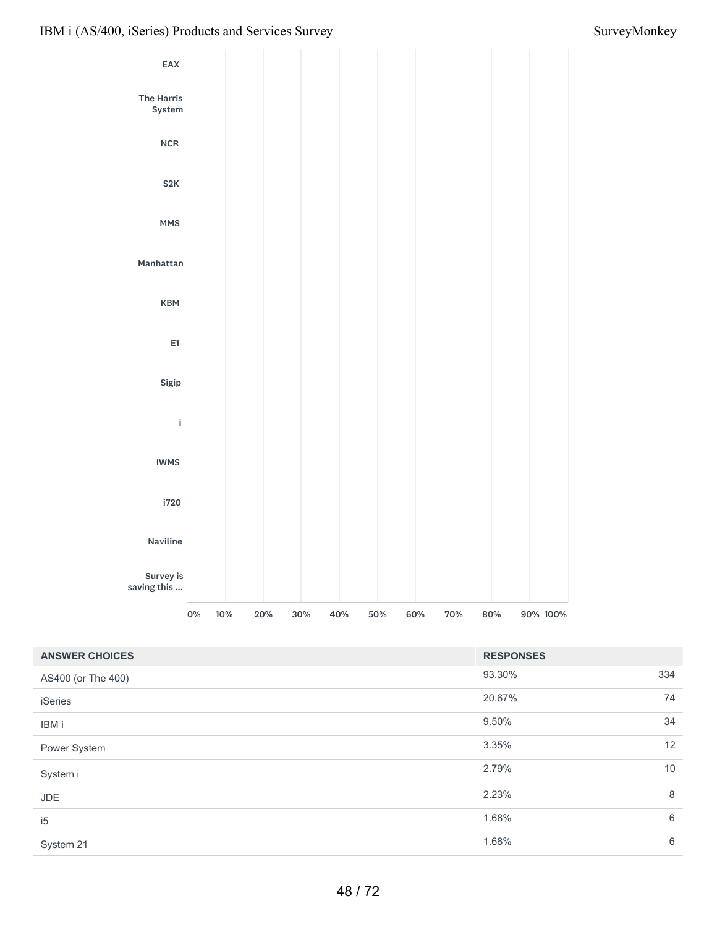

| <b>ANSWER CHOICES</b> | <b>RESPONSES</b> |     |
|-----------------------|------------------|-----|
| AS400 (or The 400)    | 93.30%           | 334 |
| <b>iSeries</b>        | 20.67%           | 74  |
| IBM i                 | 9.50%            | 34  |
| Power System          | 3.35%            | 12  |
| System i              | 2.79%            | 10  |
| <b>JDE</b>            | 2.23%            | 8   |
| i <sub>5</sub>        | 1.68%            | 6   |
| System 21             | 1.68%            | 6   |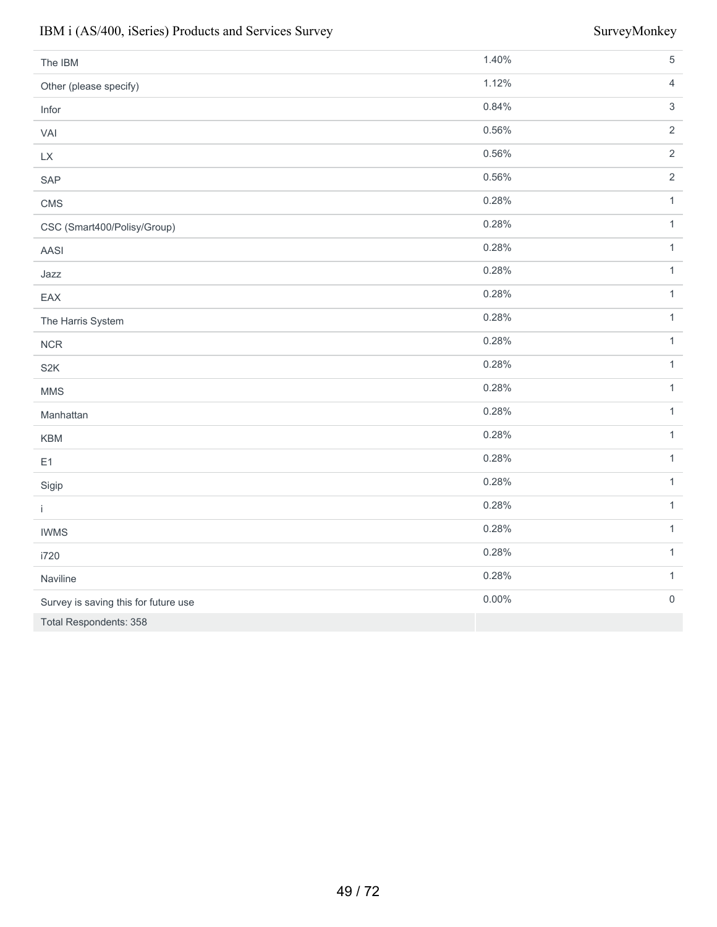| The IBM                              | 1.40% | $\sqrt{5}$     |
|--------------------------------------|-------|----------------|
| Other (please specify)               | 1.12% | $\overline{4}$ |
| Infor                                | 0.84% | $\sqrt{3}$     |
| VAI                                  | 0.56% | $\sqrt{2}$     |
| $\mathsf{L}\mathsf{X}$               | 0.56% | $\sqrt{2}$     |
| SAP                                  | 0.56% | $\overline{2}$ |
| CMS                                  | 0.28% | $\mathbf{1}$   |
| CSC (Smart400/Polisy/Group)          | 0.28% | $\mathbf{1}$   |
| AASI                                 | 0.28% | $\mathbf{1}$   |
| Jazz                                 | 0.28% | $\mathbf{1}$   |
| EAX                                  | 0.28% | $\mathbf{1}$   |
| The Harris System                    | 0.28% | $\mathbf{1}$   |
| ${\sf NCR}$                          | 0.28% | $\mathbf{1}$   |
| S <sub>2</sub> K                     | 0.28% | $\mathbf{1}$   |
| <b>MMS</b>                           | 0.28% | $\mathbf{1}$   |
| Manhattan                            | 0.28% | $\mathbf{1}$   |
| KBM                                  | 0.28% | $\mathbf{1}$   |
| E1                                   | 0.28% | $\mathbf{1}$   |
| Sigip                                | 0.28% | $\mathbf{1}$   |
| $\mathbf i$                          | 0.28% | $\mathbf{1}$   |
| <b>IWMS</b>                          | 0.28% | $\mathbf{1}$   |
| i720                                 | 0.28% | $\mathbf{1}$   |
| Naviline                             | 0.28% | $\mathbf{1}$   |
| Survey is saving this for future use | 0.00% | $\mathbf 0$    |
| Total Respondents: 358               |       |                |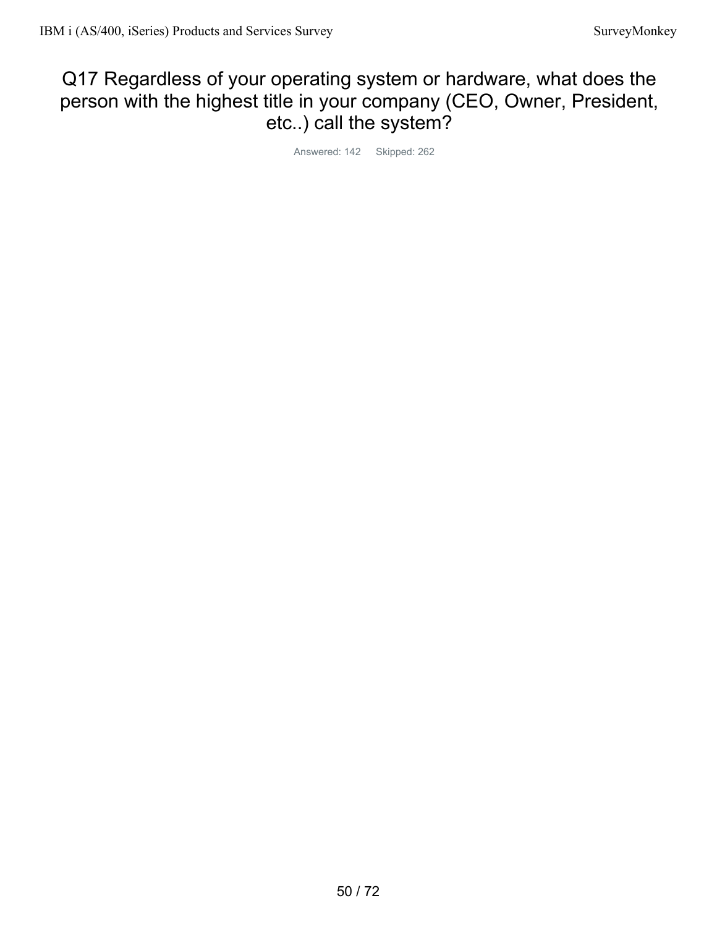# Q17 Regardless of your operating system or hardware, what does the person with the highest title in your company (CEO, Owner, President, etc..) call the system?

Answered: 142 Skipped: 262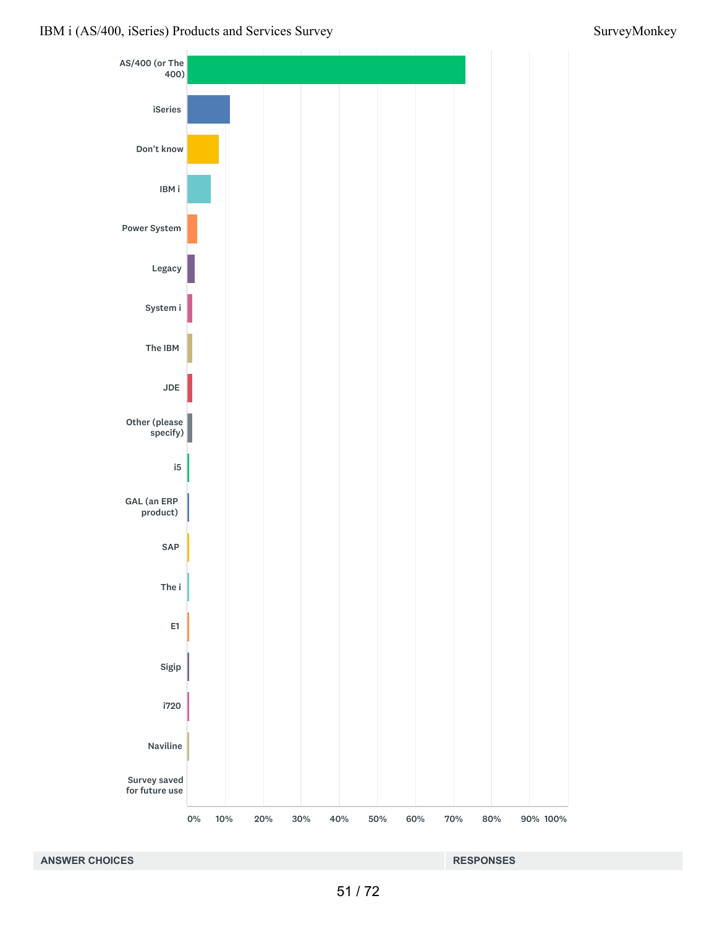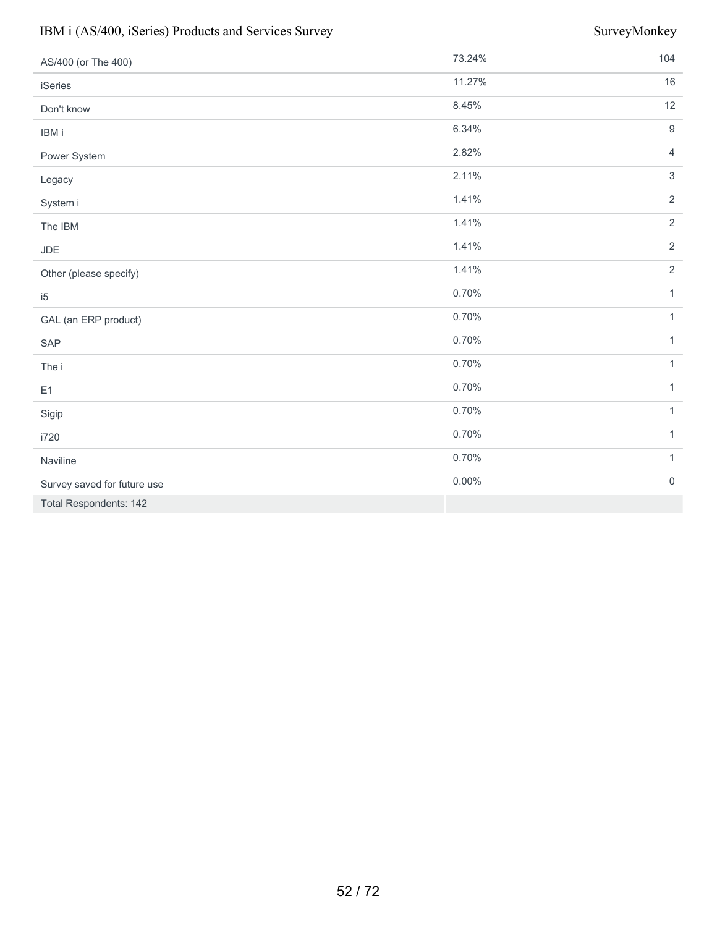| AS/400 (or The 400)         | 73.24%   | 104                 |
|-----------------------------|----------|---------------------|
| iSeries                     | 11.27%   | 16                  |
| Don't know                  | 8.45%    | 12                  |
| IBM i                       | 6.34%    | $9\,$               |
| Power System                | 2.82%    | $\overline{4}$      |
| Legacy                      | 2.11%    | $\mathfrak{Z}$      |
| System i                    | 1.41%    | $\overline{2}$      |
| The IBM                     | 1.41%    | $\overline{2}$      |
| JDE                         | 1.41%    | $\sqrt{2}$          |
| Other (please specify)      | 1.41%    | $\overline{2}$      |
| i5                          | 0.70%    | $\mathbf{1}$        |
| GAL (an ERP product)        | 0.70%    | $\mathbf{1}$        |
| SAP                         | 0.70%    | $\mathbf{1}$        |
| The i                       | 0.70%    | $\mathbf{1}$        |
| E1                          | 0.70%    | $\mathbf{1}$        |
| Sigip                       | 0.70%    | $\mathbf{1}$        |
| i720                        | 0.70%    | $\mathbf{1}$        |
| Naviline                    | 0.70%    | $\mathbf{1}$        |
| Survey saved for future use | $0.00\%$ | $\mathsf{O}\xspace$ |
| Total Respondents: 142      |          |                     |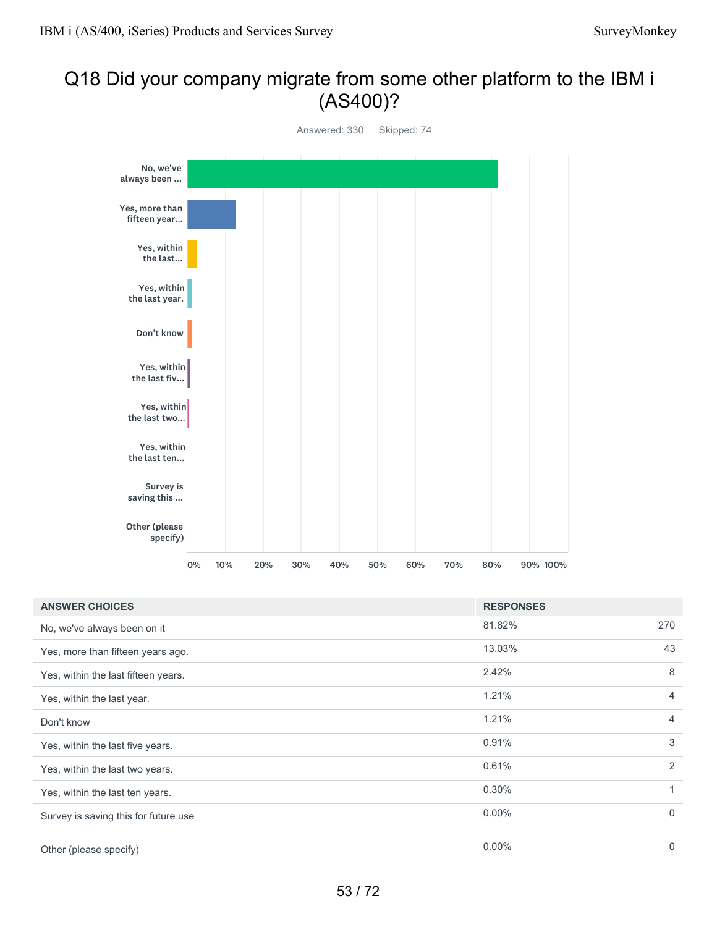# Q18 Did your company migrate from some other platform to the IBM i (AS400)?



| <b>ANSWER CHOICES</b>                | <b>RESPONSES</b> |                |
|--------------------------------------|------------------|----------------|
| No, we've always been on it          | 81.82%           | 270            |
| Yes, more than fifteen years ago.    | 13.03%           | 43             |
| Yes, within the last fifteen years.  | 2.42%            | 8              |
| Yes, within the last year.           | 1.21%            | $\overline{4}$ |
| Don't know                           | 1.21%            | $\overline{4}$ |
| Yes, within the last five years.     | 0.91%            | 3              |
| Yes, within the last two years.      | 0.61%            | 2              |
| Yes, within the last ten years.      | $0.30\%$         | $\mathbf{1}$   |
| Survey is saving this for future use | $0.00\%$         | $\mathbf 0$    |
| Other (please specify)               | $0.00\%$         | $\mathbf 0$    |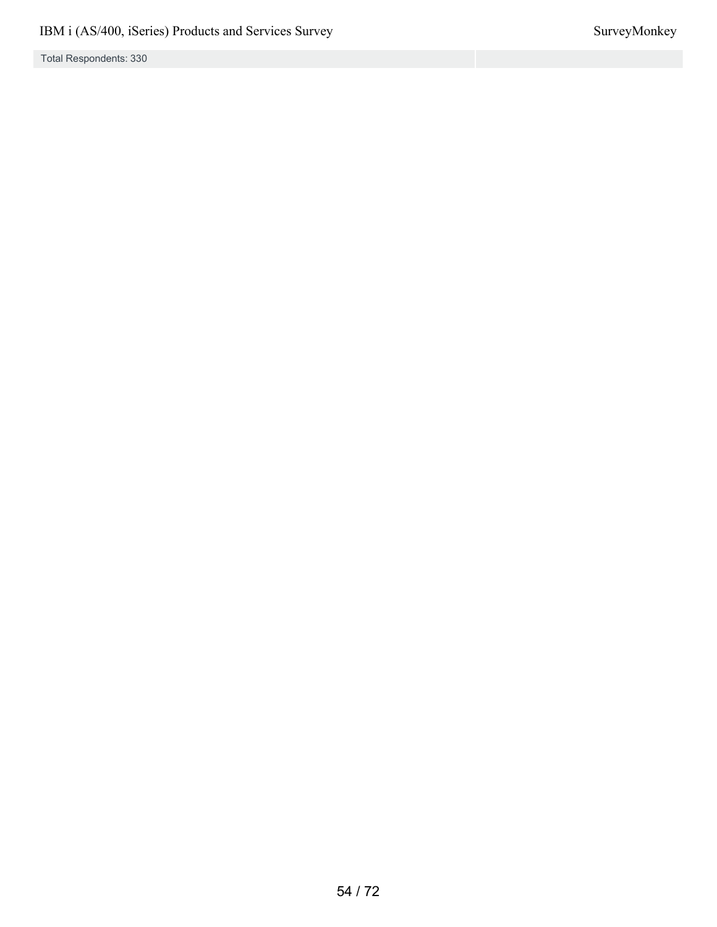Total Respondents: 330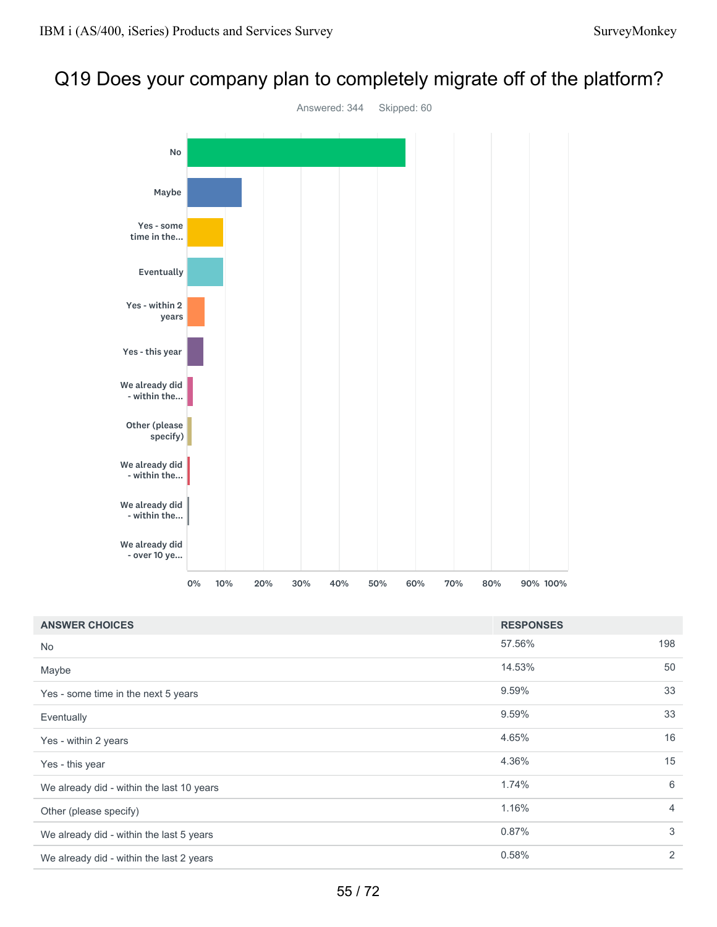# Q19 Does your company plan to completely migrate off of the platform?



| <b>ANSWER CHOICES</b>                     | <b>RESPONSES</b> |                |
|-------------------------------------------|------------------|----------------|
| No                                        | 57.56%           | 198            |
| Maybe                                     | 14.53%           | 50             |
| Yes - some time in the next 5 years       | 9.59%            | 33             |
| Eventually                                | 9.59%            | 33             |
| Yes - within 2 years                      | 4.65%            | 16             |
| Yes - this year                           | 4.36%            | 15             |
| We already did - within the last 10 years | 1.74%            | 6              |
| Other (please specify)                    | 1.16%            | $\overline{4}$ |
| We already did - within the last 5 years  | 0.87%            | 3              |
| We already did - within the last 2 years  | 0.58%            | 2              |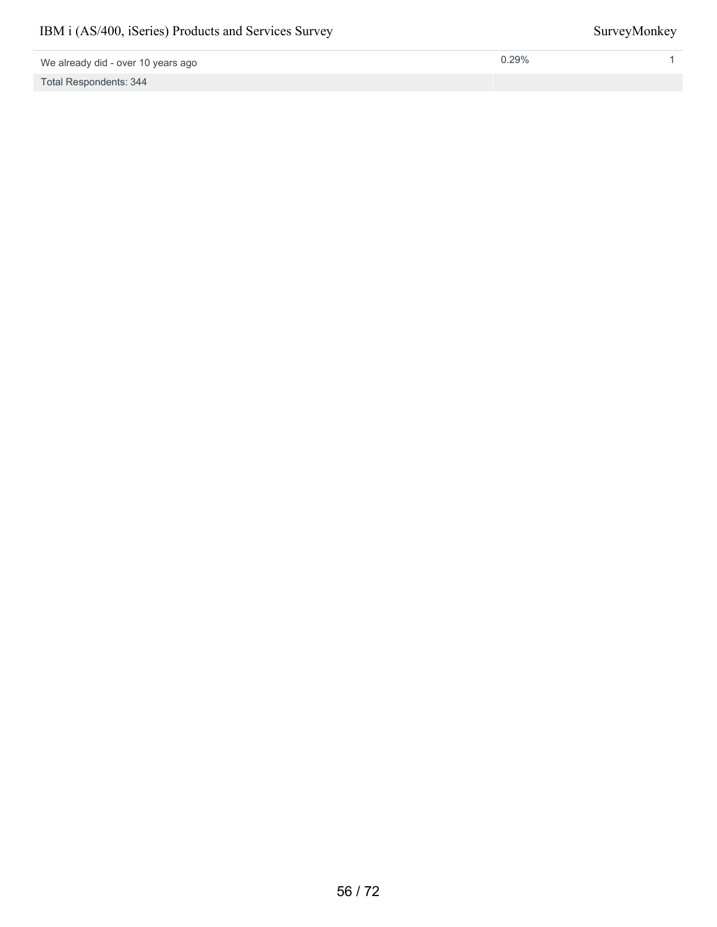We already did - over 10 years ago

Total Respondents: 344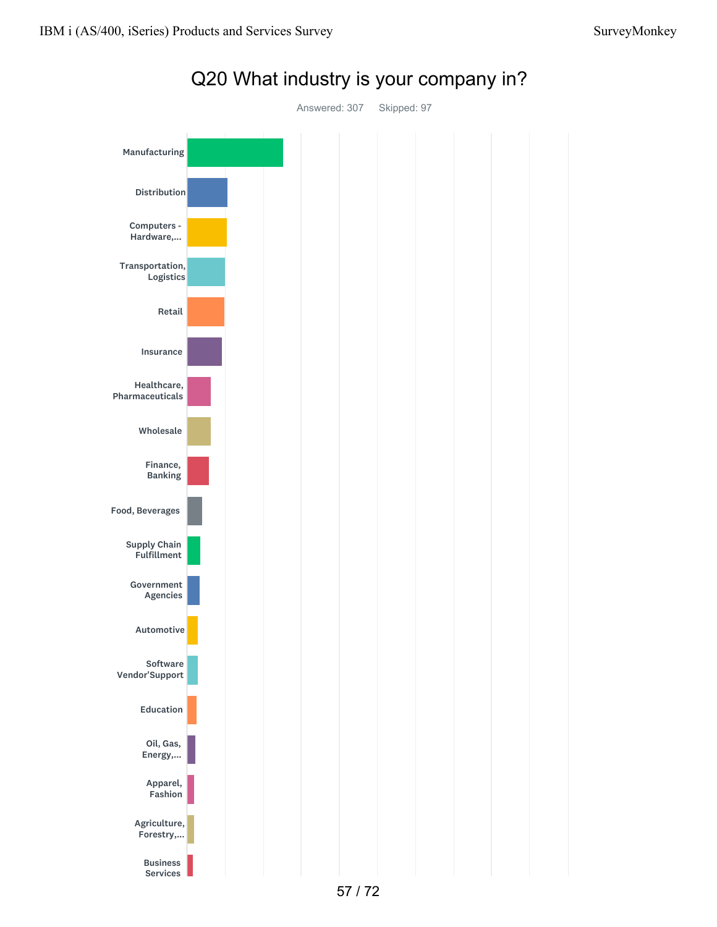



Q20 What industry is your company in?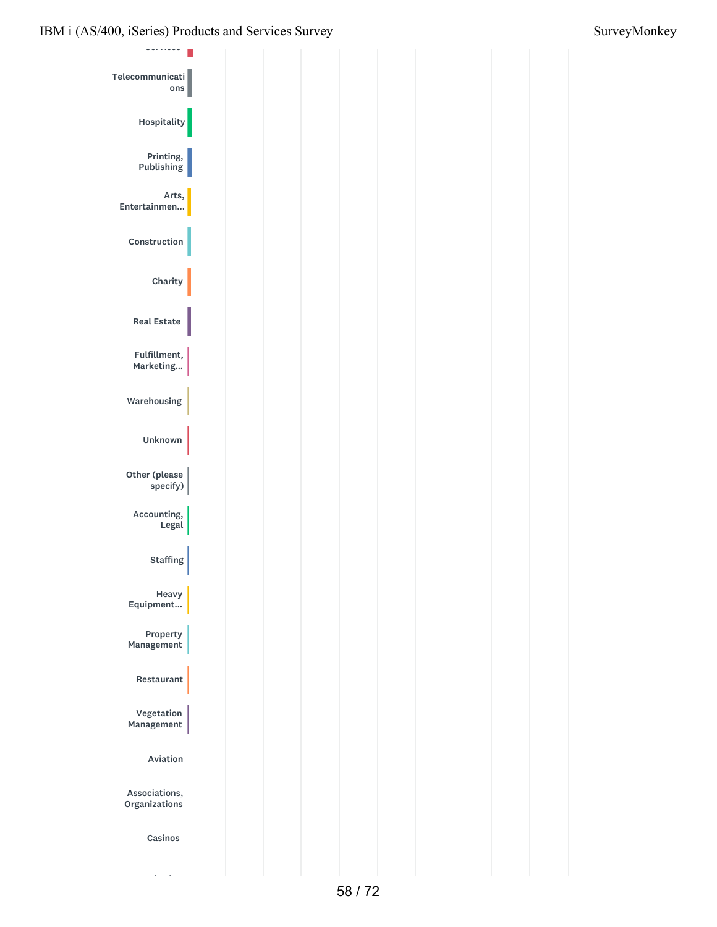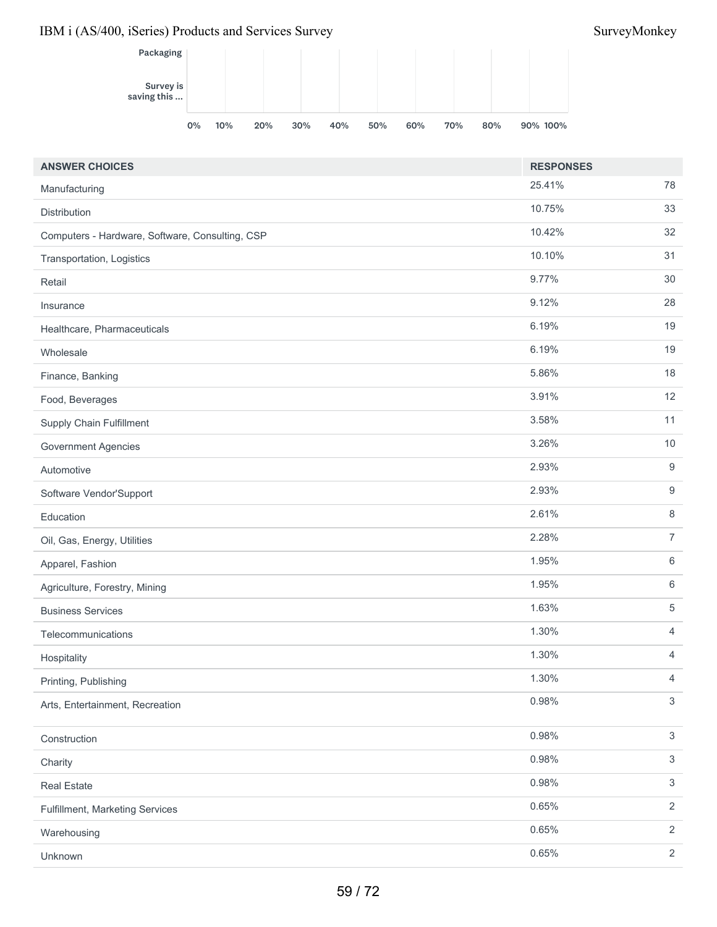

| <b>ANSWER CHOICES</b>                           | <b>RESPONSES</b> |                  |
|-------------------------------------------------|------------------|------------------|
| Manufacturing                                   | 25.41%           | 78               |
| Distribution                                    | 10.75%           | 33               |
| Computers - Hardware, Software, Consulting, CSP | 10.42%           | 32               |
| Transportation, Logistics                       | 10.10%           | 31               |
| Retail                                          | 9.77%            | $30\,$           |
| Insurance                                       | 9.12%            | 28               |
| Healthcare, Pharmaceuticals                     | 6.19%            | 19               |
| Wholesale                                       | 6.19%            | 19               |
| Finance, Banking                                | 5.86%            | 18               |
| Food, Beverages                                 | 3.91%            | 12               |
| <b>Supply Chain Fulfillment</b>                 | 3.58%            | 11               |
| <b>Government Agencies</b>                      | 3.26%            | 10               |
| Automotive                                      | 2.93%            | 9                |
| Software Vendor'Support                         | 2.93%            | $\boldsymbol{9}$ |
| Education                                       | 2.61%            | $\,8\,$          |
| Oil, Gas, Energy, Utilities                     | 2.28%            | $\overline{7}$   |
| Apparel, Fashion                                | 1.95%            | 6                |
| Agriculture, Forestry, Mining                   | 1.95%            | $\,6\,$          |
| <b>Business Services</b>                        | 1.63%            | 5                |
| Telecommunications                              | 1.30%            | 4                |
| Hospitality                                     | 1.30%            | $\overline{4}$   |
| Printing, Publishing                            | 1.30%            | 4                |
| Arts, Entertainment, Recreation                 | 0.98%            | $\mathfrak{S}$   |
| Construction                                    | 0.98%            | $\mathfrak{S}$   |
| Charity                                         | 0.98%            | $\sqrt{3}$       |
| <b>Real Estate</b>                              | 0.98%            | $\sqrt{3}$       |
| Fulfillment, Marketing Services                 | 0.65%            | $\overline{2}$   |
| Warehousing                                     | 0.65%            | $\overline{2}$   |
| Unknown                                         | 0.65%            | $\overline{2}$   |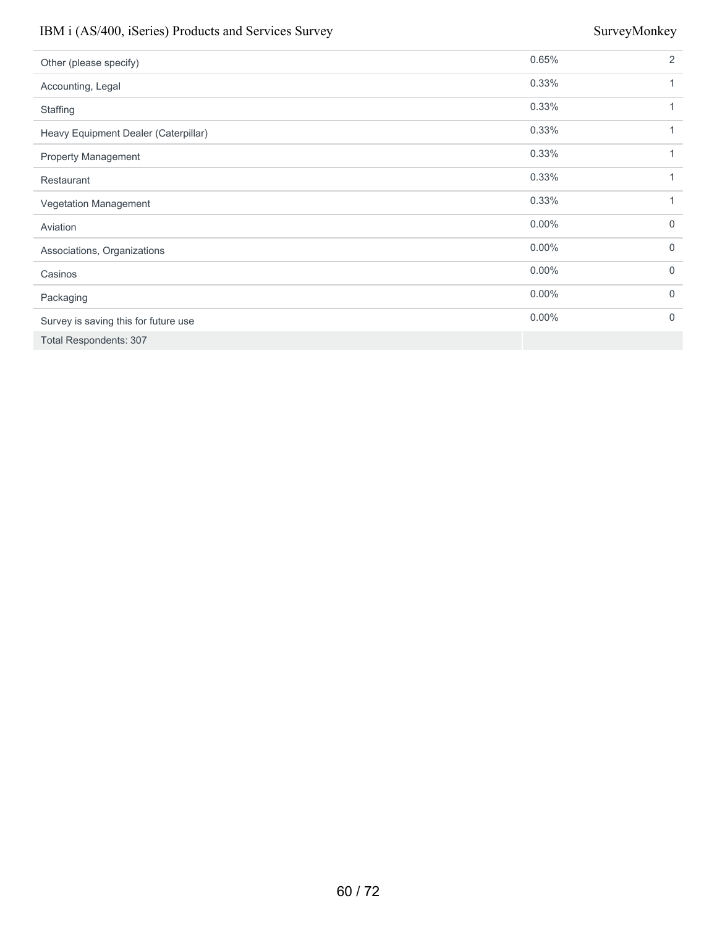| Other (please specify)               | 0.65%    | 2            |
|--------------------------------------|----------|--------------|
| Accounting, Legal                    | 0.33%    | 1            |
| Staffing                             | 0.33%    | 1            |
| Heavy Equipment Dealer (Caterpillar) | 0.33%    | 1            |
| Property Management                  | 0.33%    | 1            |
| Restaurant                           | 0.33%    | 1            |
| Vegetation Management                | 0.33%    | 1            |
| Aviation                             | $0.00\%$ | $\mathbf{0}$ |
| Associations, Organizations          | $0.00\%$ | $\mathbf 0$  |
| Casinos                              | $0.00\%$ | $\mathbf 0$  |
| Packaging                            | $0.00\%$ | $\mathbf 0$  |
| Survey is saving this for future use | $0.00\%$ | $\Omega$     |
| <b>Total Respondents: 307</b>        |          |              |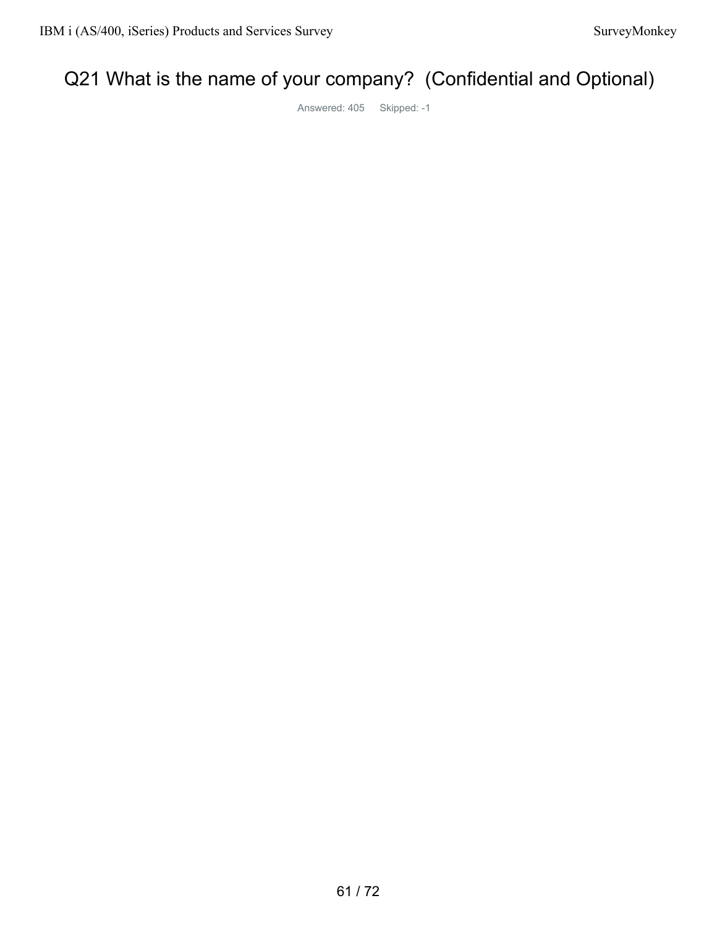# Q21 What is the name of your company? (Confidential and Optional)

Answered: 405 Skipped: -1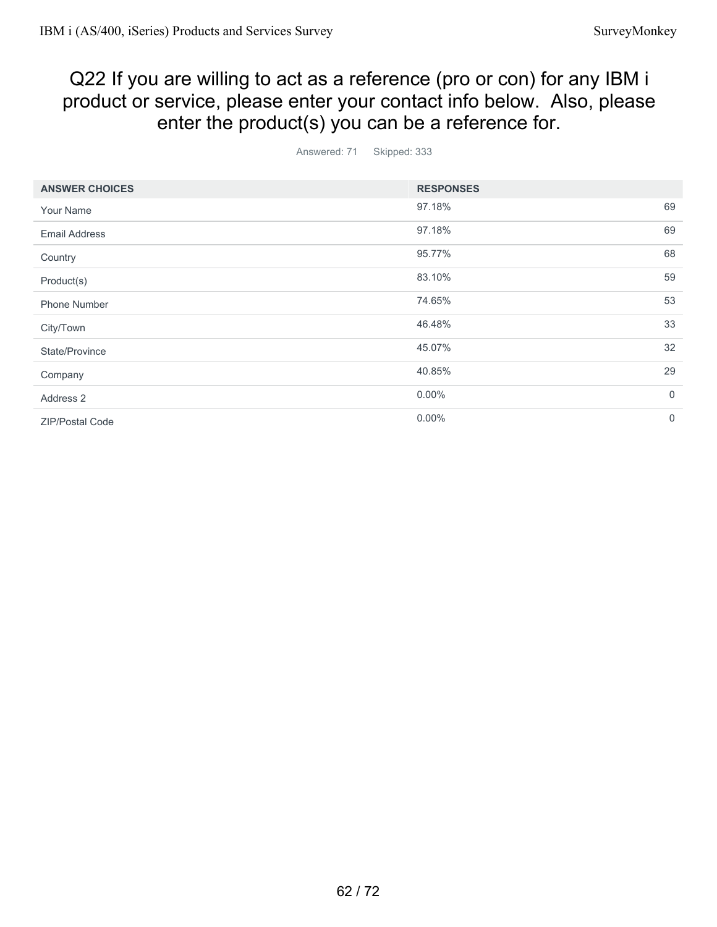# Q22 If you are willing to act as a reference (pro or con) for any IBM i product or service, please enter your contact info below. Also, please enter the product(s) you can be a reference for.

Answered: 71 Skipped: 333

| <b>ANSWER CHOICES</b> | <b>RESPONSES</b> |                |
|-----------------------|------------------|----------------|
| Your Name             | 97.18%           | 69             |
| <b>Email Address</b>  | 97.18%           | 69             |
| Country               | 95.77%           | 68             |
| Product(s)            | 83.10%           | 59             |
| <b>Phone Number</b>   | 74.65%           | 53             |
| City/Town             | 46.48%           | 33             |
| State/Province        | 45.07%           | 32             |
| Company               | 40.85%           | 29             |
| Address 2             | $0.00\%$         | $\overline{0}$ |
| ZIP/Postal Code       | $0.00\%$         | $\mathbf 0$    |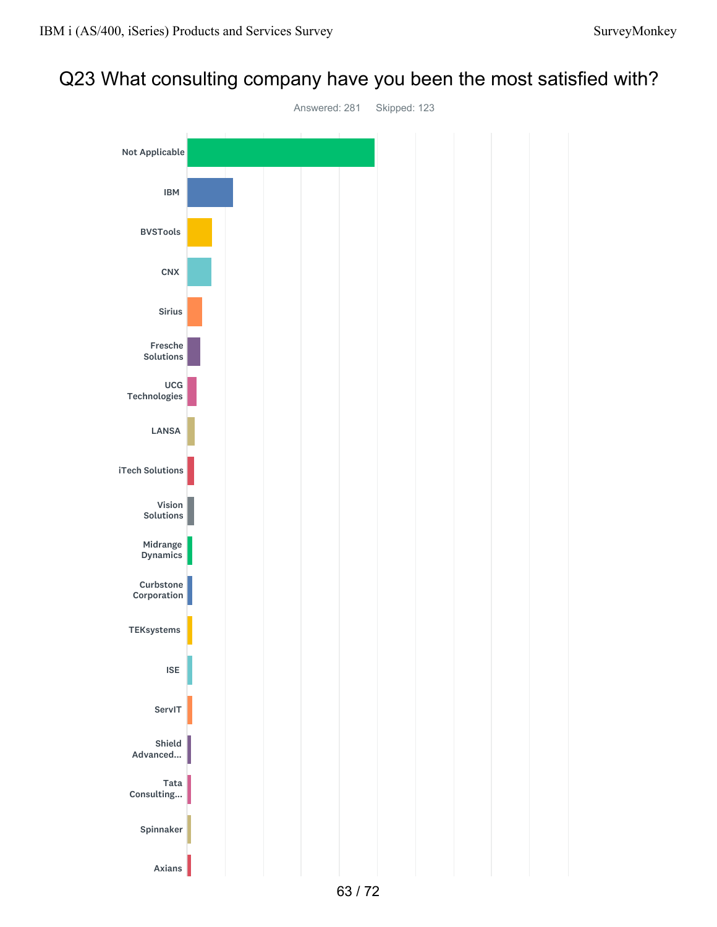# Q23 What consulting company have you been the most satisfied with?

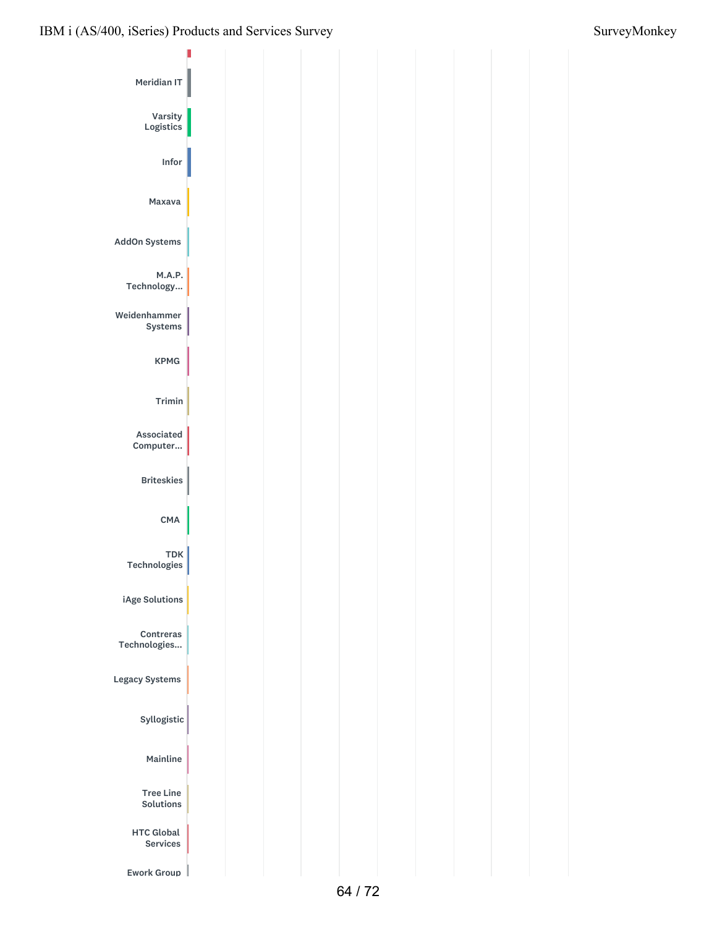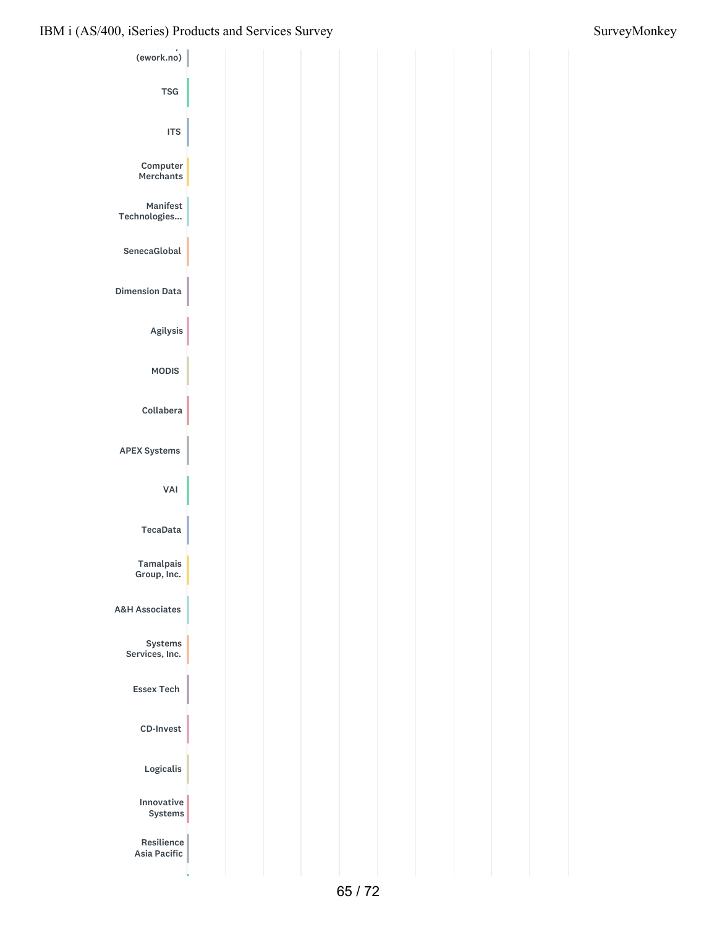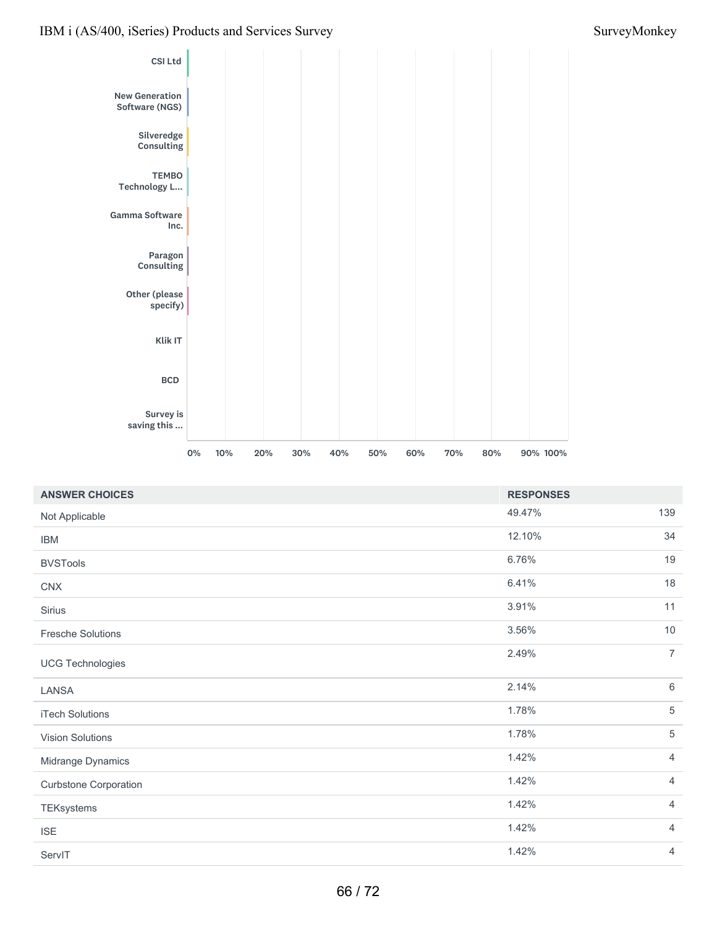

| <b>ANSWER CHOICES</b>        | <b>RESPONSES</b> |                |
|------------------------------|------------------|----------------|
| Not Applicable               | 49.47%           | 139            |
| <b>IBM</b>                   | 12.10%           | 34             |
| <b>BVSTools</b>              | 6.76%            | 19             |
| <b>CNX</b>                   | 6.41%            | 18             |
| Sirius                       | 3.91%            | 11             |
| <b>Fresche Solutions</b>     | 3.56%            | 10             |
| <b>UCG Technologies</b>      | 2.49%            | $\overline{7}$ |
| LANSA                        | 2.14%            | $\,6\,$        |
| iTech Solutions              | 1.78%            | $\,$ 5 $\,$    |
| Vision Solutions             | 1.78%            | $\sqrt{5}$     |
| Midrange Dynamics            | 1.42%            | $\overline{4}$ |
| <b>Curbstone Corporation</b> | 1.42%            | $\overline{4}$ |
| TEKsystems                   | 1.42%            | $\overline{4}$ |
| <b>ISE</b>                   | 1.42%            | $\overline{4}$ |
| ServIT                       | 1.42%            | $\overline{4}$ |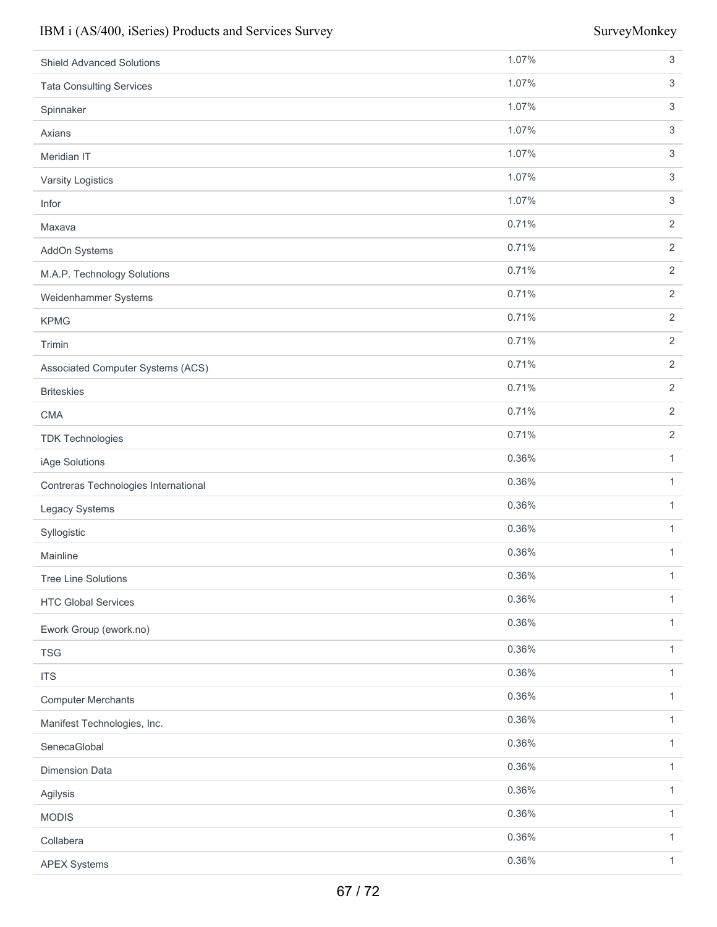| <b>Shield Advanced Solutions</b>     | 1.07% | $\sqrt{3}$     |
|--------------------------------------|-------|----------------|
| <b>Tata Consulting Services</b>      | 1.07% | $\sqrt{3}$     |
| Spinnaker                            | 1.07% | $\sqrt{3}$     |
| Axians                               | 1.07% | $\sqrt{3}$     |
| Meridian IT                          | 1.07% | $\sqrt{3}$     |
| Varsity Logistics                    | 1.07% | $\sqrt{3}$     |
| Infor                                | 1.07% | $\sqrt{3}$     |
| Maxava                               | 0.71% | $\sqrt{2}$     |
| AddOn Systems                        | 0.71% | $\sqrt{2}$     |
| M.A.P. Technology Solutions          | 0.71% | $\sqrt{2}$     |
| Weidenhammer Systems                 | 0.71% | $\overline{2}$ |
| <b>KPMG</b>                          | 0.71% | $\sqrt{2}$     |
| Trimin                               | 0.71% | $\sqrt{2}$     |
| Associated Computer Systems (ACS)    | 0.71% | $\overline{2}$ |
| <b>Briteskies</b>                    | 0.71% | $\sqrt{2}$     |
| <b>CMA</b>                           | 0.71% | $\sqrt{2}$     |
| <b>TDK Technologies</b>              | 0.71% | $\sqrt{2}$     |
| iAge Solutions                       | 0.36% | 1              |
| Contreras Technologies International | 0.36% | $\mathbf{1}$   |
| Legacy Systems                       | 0.36% | 1              |
| Syllogistic                          | 0.36% | 1              |
| Mainline                             | 0.36% | $\mathbf{1}$   |
| <b>Tree Line Solutions</b>           | 0.36% | $\mathbf{1}$   |
| <b>HTC Global Services</b>           | 0.36% | $\mathbf{1}$   |
| Ework Group (ework.no)               | 0.36% | $\mathbf{1}$   |
| <b>TSG</b>                           | 0.36% | $\mathbf{1}$   |
| <b>ITS</b>                           | 0.36% | $\mathbf{1}$   |
| <b>Computer Merchants</b>            | 0.36% | $\mathbf{1}$   |
| Manifest Technologies, Inc.          | 0.36% | $\mathbf{1}$   |
| SenecaGlobal                         | 0.36% | $\mathbf{1}$   |
| <b>Dimension Data</b>                | 0.36% | $\mathbf{1}$   |
| Agilysis                             | 0.36% | $\mathbf{1}$   |
| <b>MODIS</b>                         | 0.36% | $\mathbf{1}$   |
| Collabera                            | 0.36% | $\mathbf{1}$   |
| <b>APEX Systems</b>                  | 0.36% | $\mathbf{1}$   |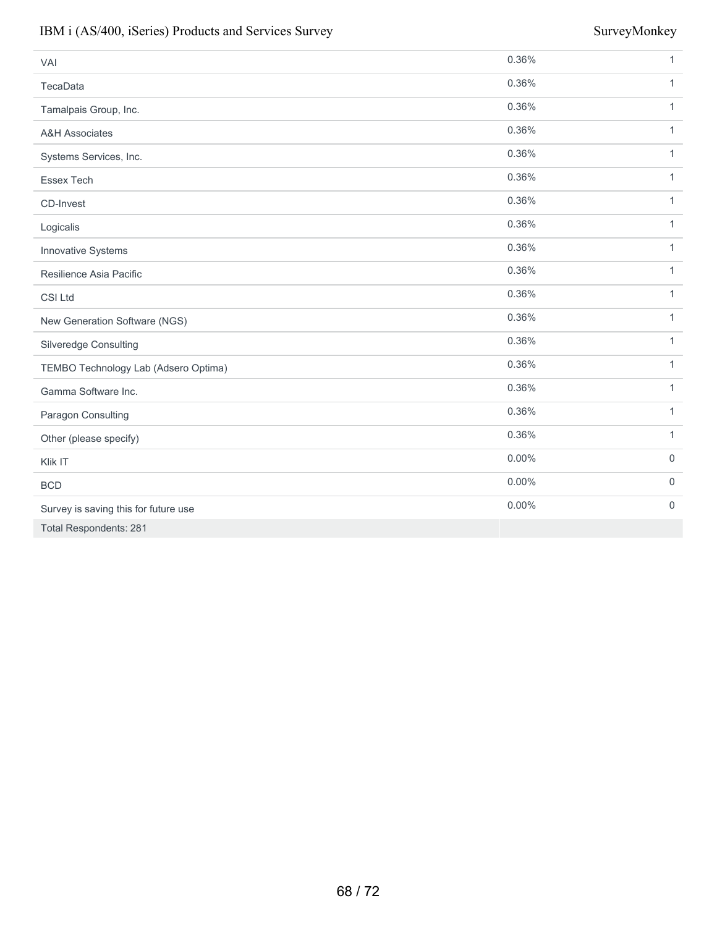| VAI                                  | 0.36%    | $\mathbf{1}$ |
|--------------------------------------|----------|--------------|
| TecaData                             | 0.36%    | $\mathbf{1}$ |
| Tamalpais Group, Inc.                | 0.36%    | $\mathbf{1}$ |
| <b>A&amp;H Associates</b>            | 0.36%    | $\mathbf{1}$ |
| Systems Services, Inc.               | 0.36%    | $\mathbf{1}$ |
| Essex Tech                           | 0.36%    | $\mathbf{1}$ |
| CD-Invest                            | 0.36%    | 1            |
| Logicalis                            | 0.36%    | $\mathbf{1}$ |
| Innovative Systems                   | 0.36%    | $\mathbf{1}$ |
| Resilience Asia Pacific              | 0.36%    | $\mathbf{1}$ |
| CSI Ltd                              | 0.36%    | $\mathbf{1}$ |
| New Generation Software (NGS)        | 0.36%    | 1            |
| Silveredge Consulting                | 0.36%    | $\mathbf{1}$ |
| TEMBO Technology Lab (Adsero Optima) | 0.36%    | $\mathbf{1}$ |
| Gamma Software Inc.                  | 0.36%    | $\mathbf{1}$ |
| Paragon Consulting                   | 0.36%    | $\mathbf{1}$ |
| Other (please specify)               | 0.36%    | $\mathbf{1}$ |
| Klik IT                              | $0.00\%$ | $\mathbf 0$  |
| <b>BCD</b>                           | $0.00\%$ | $\mathbf 0$  |
| Survey is saving this for future use | $0.00\%$ | $\mathbf 0$  |
| <b>Total Respondents: 281</b>        |          |              |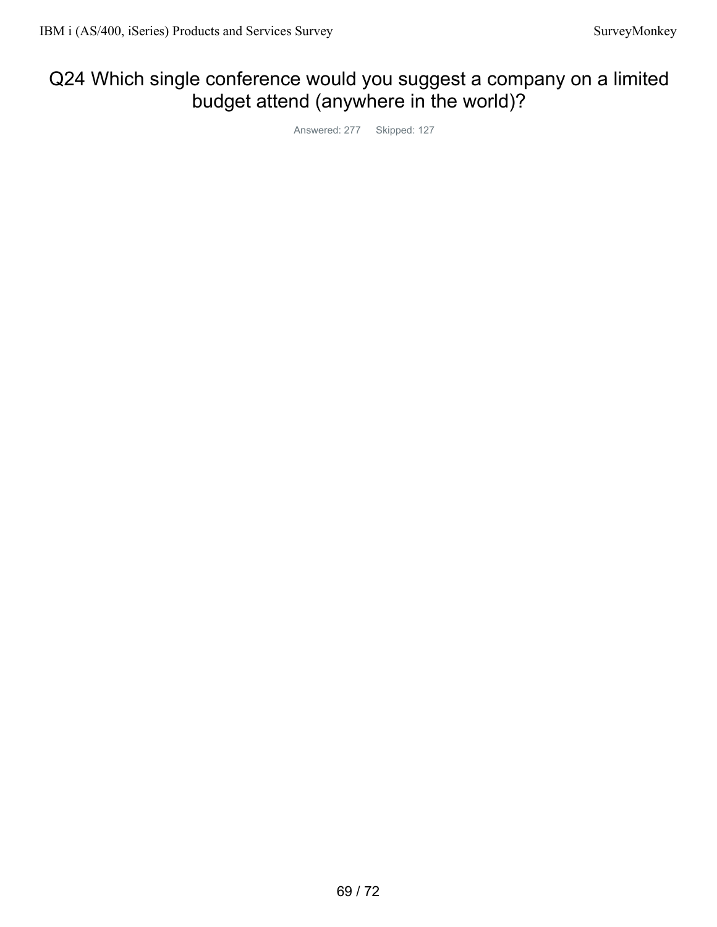# Q24 Which single conference would you suggest a company on a limited budget attend (anywhere in the world)?

Answered: 277 Skipped: 127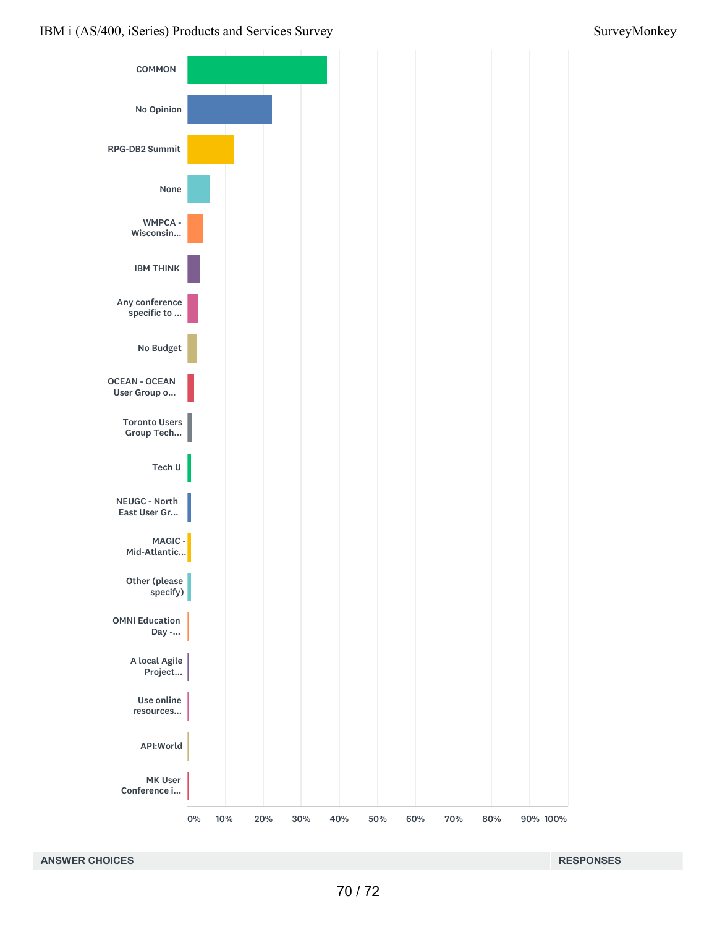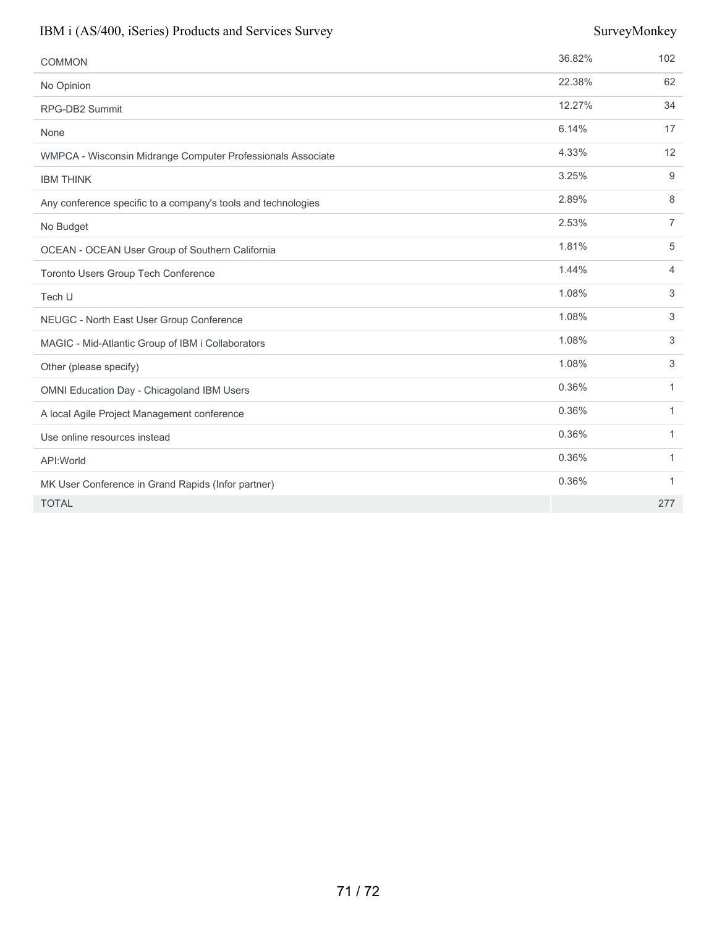| <b>COMMON</b>                                                 | 36.82% | 102            |
|---------------------------------------------------------------|--------|----------------|
| No Opinion                                                    | 22.38% | 62             |
| RPG-DB2 Summit                                                | 12.27% | 34             |
| None                                                          | 6.14%  | 17             |
| WMPCA - Wisconsin Midrange Computer Professionals Associate   | 4.33%  | 12             |
| <b>IBM THINK</b>                                              | 3.25%  | 9              |
| Any conference specific to a company's tools and technologies | 2.89%  | 8              |
| No Budget                                                     | 2.53%  | $\overline{7}$ |
| OCEAN - OCEAN User Group of Southern California               | 1.81%  | 5              |
| Toronto Users Group Tech Conference                           | 1.44%  | 4              |
| Tech U                                                        | 1.08%  | 3              |
| NEUGC - North East User Group Conference                      | 1.08%  | 3              |
| MAGIC - Mid-Atlantic Group of IBM i Collaborators             | 1.08%  | 3              |
| Other (please specify)                                        | 1.08%  | 3              |
| OMNI Education Day - Chicagoland IBM Users                    | 0.36%  | $\mathbf{1}$   |
| A local Agile Project Management conference                   | 0.36%  | $\mathbf{1}$   |
| Use online resources instead                                  | 0.36%  | $\mathbf{1}$   |
| API: World                                                    | 0.36%  | 1              |
| MK User Conference in Grand Rapids (Infor partner)            | 0.36%  | $\mathbf{1}$   |
| <b>TOTAL</b>                                                  |        | 277            |